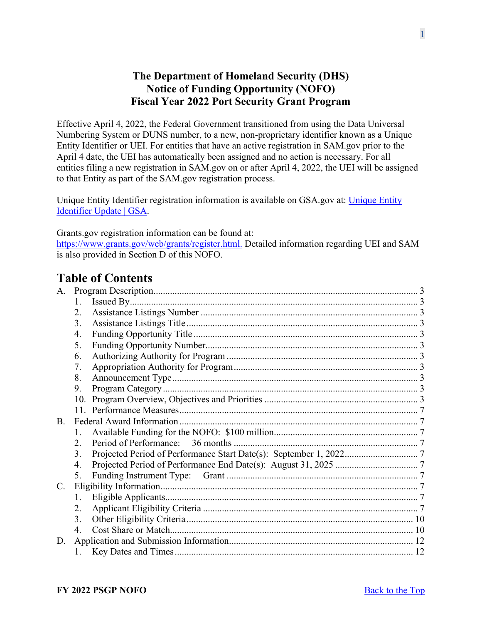## **The Department of Homeland Security (DHS) Notice of Funding Opportunity (NOFO) Fiscal Year 2022 Port Security Grant Program**

<span id="page-0-0"></span>Effective April 4, 2022, the Federal Government transitioned from using the Data Universal Numbering System or DUNS number, to a new, non-proprietary identifier known as a Unique Entity Identifier or UEI. For entities that have an active registration in SAM.gov prior to the April 4 date, the UEI has automatically been assigned and no action is necessary. For all entities filing a new registration in SAM.gov on or after April 4, 2022, the UEI will be assigned to that Entity as part of the SAM.gov registration process.

Unique Entity Identifier registration information is available on GSA.gov at: [Unique Entity](https://www.gsa.gov/about-us/organization/federal-acquisition-service/office-of-systems-management/integrated-award-environment-iae/iae-systems-information-kit/unique-entity-identifier-update)  [Identifier Update | GSA.](https://www.gsa.gov/about-us/organization/federal-acquisition-service/office-of-systems-management/integrated-award-environment-iae/iae-systems-information-kit/unique-entity-identifier-update)

Grants.gov registration information can be found at: [https://www.grants.gov/web/grants/register.html.](https://www.grants.gov/web/grants/register.html) Detailed information regarding UEI and SAM is also provided in Section D of this NOFO.

# **Table of Contents**

| A.          |                  |  |  |
|-------------|------------------|--|--|
|             | 1.               |  |  |
|             | 2.               |  |  |
|             | 3.               |  |  |
|             | 4.               |  |  |
|             | 5.               |  |  |
|             | 6.               |  |  |
|             | 7.               |  |  |
|             | 8.               |  |  |
|             | 9.               |  |  |
|             | 10.              |  |  |
|             |                  |  |  |
| B.          |                  |  |  |
|             | $1_{-}$          |  |  |
|             | $\overline{2}$ . |  |  |
|             | 3.               |  |  |
|             | 4.               |  |  |
|             | 5.               |  |  |
| $C_{\cdot}$ |                  |  |  |
|             | 1.               |  |  |
|             | 2.               |  |  |
|             | 3.               |  |  |
|             | 4.               |  |  |
| D.          |                  |  |  |
|             | 1.               |  |  |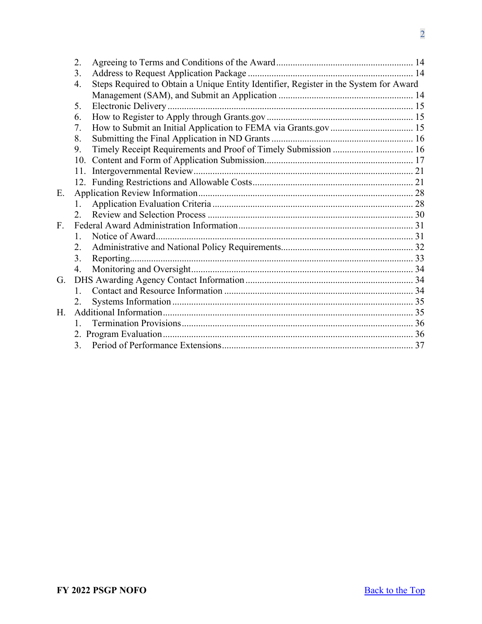|    | 2.           |                                                                                       |  |
|----|--------------|---------------------------------------------------------------------------------------|--|
|    | 3.           |                                                                                       |  |
|    | 4.           | Steps Required to Obtain a Unique Entity Identifier, Register in the System for Award |  |
|    |              |                                                                                       |  |
|    | 5.           |                                                                                       |  |
|    | 6.           |                                                                                       |  |
|    | 7.           |                                                                                       |  |
|    | 8.           |                                                                                       |  |
|    | 9.           | Timely Receipt Requirements and Proof of Timely Submission  16                        |  |
|    |              |                                                                                       |  |
|    | 11.          |                                                                                       |  |
|    |              |                                                                                       |  |
| Ε. |              |                                                                                       |  |
|    | 1.           |                                                                                       |  |
|    | 2.           |                                                                                       |  |
| F. |              |                                                                                       |  |
|    | 1.           |                                                                                       |  |
|    | 2.           |                                                                                       |  |
|    | 3.           |                                                                                       |  |
|    | 4.           |                                                                                       |  |
| G. |              |                                                                                       |  |
|    | $1_{-}$      |                                                                                       |  |
|    | 2.           |                                                                                       |  |
| H. |              |                                                                                       |  |
|    | $1_{\cdots}$ |                                                                                       |  |
|    |              |                                                                                       |  |
|    |              |                                                                                       |  |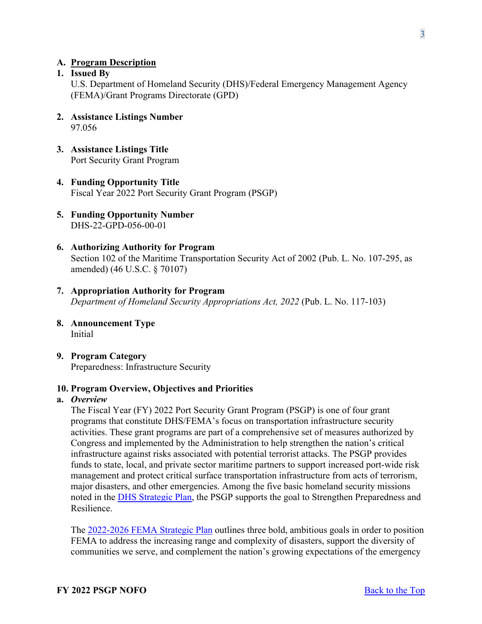### <span id="page-2-0"></span>**A. Program Description**

#### <span id="page-2-1"></span>**1. Issued By**

U.S. Department of Homeland Security (DHS)/Federal Emergency Management Agency (FEMA)/Grant Programs Directorate (GPD)

- <span id="page-2-2"></span>**2. Assistance Listings Number**  97.056
- <span id="page-2-3"></span>**3. Assistance Listings Title** Port Security Grant Program
- <span id="page-2-4"></span>**4. Funding Opportunity Title**  Fiscal Year 2022 Port Security Grant Program (PSGP)
- <span id="page-2-5"></span>**5. Funding Opportunity Number** DHS-22-GPD-056-00-01
- <span id="page-2-6"></span>**6. Authorizing Authority for Program** Section 102 of the Maritime Transportation Security Act of 2002 (Pub. L. No. 107-295, as amended) (46 U.S.C. § 70107)
- <span id="page-2-7"></span>**7. Appropriation Authority for Program**  *Department of Homeland Security Appropriations Act, 2022* (Pub. L. No. 117-103)
- <span id="page-2-8"></span>**8. Announcement Type** Initial
- <span id="page-2-9"></span>**9. Program Category**  Preparedness: Infrastructure Security

#### <span id="page-2-10"></span>**10. Program Overview, Objectives and Priorities**

#### **a.** *Overview*

The Fiscal Year (FY) 2022 Port Security Grant Program (PSGP) is one of four grant programs that constitute DHS/FEMA's focus on transportation infrastructure security activities. These grant programs are part of a comprehensive set of measures authorized by Congress and implemented by the Administration to help strengthen the nation's critical infrastructure against risks associated with potential terrorist attacks. The PSGP provides funds to state, local, and private sector maritime partners to support increased port-wide risk management and protect critical surface transportation infrastructure from acts of terrorism, major disasters, and other emergencies. Among the five basic homeland security missions noted in the [DHS Strategic Plan,](https://www.dhs.gov/publication/department-homeland-securitys-strategic-plan-fiscal-years-2020-2024) the PSGP supports the goal to Strengthen Preparedness and Resilience.

The [2022-2026 FEMA Strategic Plan](https://www.fema.gov/about/strategic-plan) outlines three bold, ambitious goals in order to position FEMA to address the increasing range and complexity of disasters, support the diversity of communities we serve, and complement the nation's growing expectations of the emergency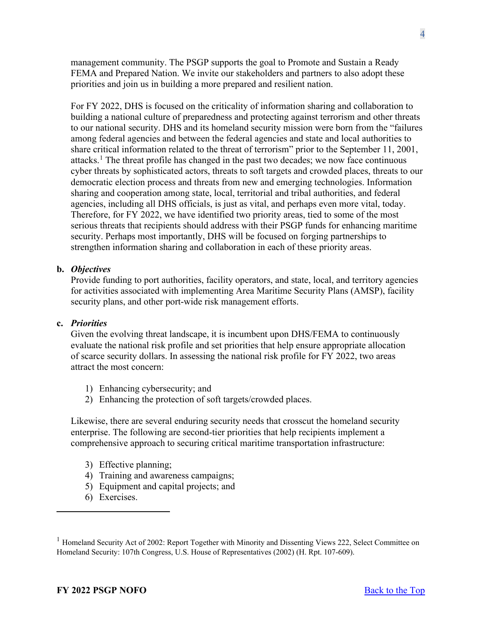management community. The PSGP supports the goal to Promote and Sustain a Ready FEMA and Prepared Nation. We invite our stakeholders and partners to also adopt these priorities and join us in building a more prepared and resilient nation.

For FY 2022, DHS is focused on the criticality of information sharing and collaboration to building a national culture of preparedness and protecting against terrorism and other threats to our national security. DHS and its homeland security mission were born from the "failures among federal agencies and between the federal agencies and state and local authorities to share critical information related to the threat of terrorism" prior to the September 11, 2001, attacks.<sup>[1](#page-3-0)</sup> The threat profile has changed in the past two decades; we now face continuous cyber threats by sophisticated actors, threats to soft targets and crowded places, threats to our democratic election process and threats from new and emerging technologies. Information sharing and cooperation among state, local, territorial and tribal authorities, and federal agencies, including all DHS officials, is just as vital, and perhaps even more vital, today. Therefore, for FY 2022, we have identified two priority areas, tied to some of the most serious threats that recipients should address with their PSGP funds for enhancing maritime security. Perhaps most importantly, DHS will be focused on forging partnerships to strengthen information sharing and collaboration in each of these priority areas.

#### **b.** *Objectives*

Provide funding to port authorities, facility operators, and state, local, and territory agencies for activities associated with implementing Area Maritime Security Plans (AMSP), facility security plans, and other port-wide risk management efforts.

#### **c.** *Priorities*

Given the evolving threat landscape, it is incumbent upon DHS/FEMA to continuously evaluate the national risk profile and set priorities that help ensure appropriate allocation of scarce security dollars. In assessing the national risk profile for FY 2022, two areas attract the most concern:

- 1) Enhancing cybersecurity; and
- 2) Enhancing the protection of soft targets/crowded places.

Likewise, there are several enduring security needs that crosscut the homeland security enterprise. The following are second-tier priorities that help recipients implement a comprehensive approach to securing critical maritime transportation infrastructure:

- 3) Effective planning;
- 4) Training and awareness campaigns;
- 5) Equipment and capital projects; and
- 6) Exercises.

<span id="page-3-0"></span><sup>&</sup>lt;sup>1</sup> Homeland Security Act of 2002: Report Together with Minority and Dissenting Views 222, Select Committee on Homeland Security: 107th Congress, U.S. House of Representatives (2002) (H. Rpt. 107-609).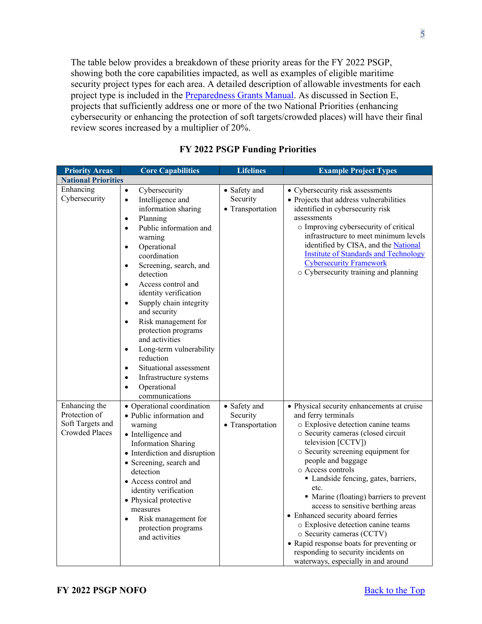The table below provides a breakdown of these priority areas for the FY 2022 PSGP, showing both the core capabilities impacted, as well as examples of eligible maritime security project types for each area. A detailed description of allowable investments for each project type is included in the [Preparedness Grants Manual.](https://www.fema.gov/media-library/assets/documents/178291) As discussed in Section E, projects that sufficiently address one or more of the two National Priorities (enhancing cybersecurity or enhancing the protection of soft targets/crowded places) will have their final review scores increased by a multiplier of 20%.

| <b>Priority Areas</b>                                                       | <b>Core Capabilities</b>                                                                                                                                                                                                                                                                                                                                                                                                                                                                                                                                                                                                                       | <b>Lifelines</b>                             | <b>Example Project Types</b>                                                                                                                                                                                                                                                                                                                                                                                                                                                                                                                                                                                           |
|-----------------------------------------------------------------------------|------------------------------------------------------------------------------------------------------------------------------------------------------------------------------------------------------------------------------------------------------------------------------------------------------------------------------------------------------------------------------------------------------------------------------------------------------------------------------------------------------------------------------------------------------------------------------------------------------------------------------------------------|----------------------------------------------|------------------------------------------------------------------------------------------------------------------------------------------------------------------------------------------------------------------------------------------------------------------------------------------------------------------------------------------------------------------------------------------------------------------------------------------------------------------------------------------------------------------------------------------------------------------------------------------------------------------------|
| <b>National Priorities</b>                                                  |                                                                                                                                                                                                                                                                                                                                                                                                                                                                                                                                                                                                                                                |                                              |                                                                                                                                                                                                                                                                                                                                                                                                                                                                                                                                                                                                                        |
| Enhancing<br>Cybersecurity                                                  | $\bullet$<br>Cybersecurity<br>Intelligence and<br>$\bullet$<br>information sharing<br>Planning<br>$\bullet$<br>Public information and<br>$\bullet$<br>warning<br>Operational<br>$\bullet$<br>coordination<br>Screening, search, and<br>$\bullet$<br>detection<br>Access control and<br>$\bullet$<br>identity verification<br>Supply chain integrity<br>$\bullet$<br>and security<br>Risk management for<br>$\bullet$<br>protection programs<br>and activities<br>Long-term vulnerability<br>$\bullet$<br>reduction<br>Situational assessment<br>$\bullet$<br>Infrastructure systems<br>$\bullet$<br>Operational<br>$\bullet$<br>communications | • Safety and<br>Security<br>• Transportation | • Cybersecurity risk assessments<br>• Projects that address vulnerabilities<br>identified in cybersecurity risk<br>assessments<br>o Improving cybersecurity of critical<br>infrastructure to meet minimum levels<br>identified by CISA, and the National<br><b>Institute of Standards and Technology</b><br><b>Cybersecurity Framework</b><br>o Cybersecurity training and planning                                                                                                                                                                                                                                    |
| Enhancing the<br>Protection of<br>Soft Targets and<br><b>Crowded Places</b> | • Operational coordination<br>· Public information and<br>warning<br>• Intelligence and<br><b>Information Sharing</b><br>• Interdiction and disruption<br>• Screening, search and<br>detection<br>• Access control and<br>identity verification<br>• Physical protective<br>measures<br>Risk management for<br>$\bullet$<br>protection programs<br>and activities                                                                                                                                                                                                                                                                              | • Safety and<br>Security<br>• Transportation | • Physical security enhancements at cruise<br>and ferry terminals<br>o Explosive detection canine teams<br>o Security cameras (closed circuit<br>television [CCTV])<br>o Security screening equipment for<br>people and baggage<br>o Access controls<br>Landside fencing, gates, barriers,<br>etc.<br>• Marine (floating) barriers to prevent<br>access to sensitive berthing areas<br>• Enhanced security aboard ferries<br>o Explosive detection canine teams<br>o Security cameras (CCTV)<br>• Rapid response boats for preventing or<br>responding to security incidents on<br>waterways, especially in and around |

## **FY 2022 PSGP Funding Priorities**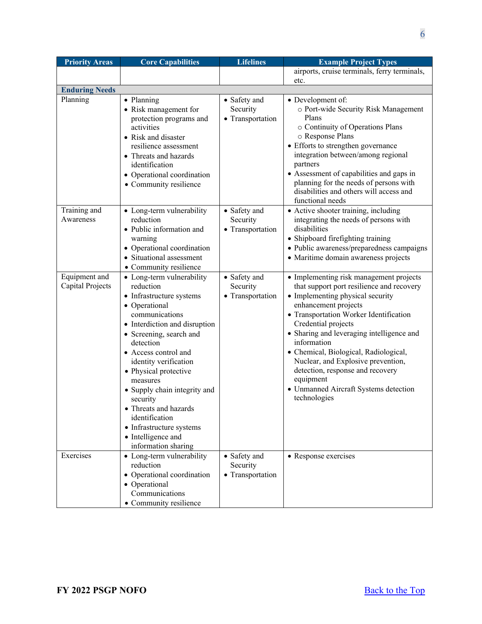| <b>Priority Areas</b>             | <b>Core Capabilities</b>                                                                                                                                                                                                                                                                                                                                                                                                           | <b>Lifelines</b>                             | <b>Example Project Types</b>                                                                                                                                                                                                                                                                                                                                                                                                                                           |
|-----------------------------------|------------------------------------------------------------------------------------------------------------------------------------------------------------------------------------------------------------------------------------------------------------------------------------------------------------------------------------------------------------------------------------------------------------------------------------|----------------------------------------------|------------------------------------------------------------------------------------------------------------------------------------------------------------------------------------------------------------------------------------------------------------------------------------------------------------------------------------------------------------------------------------------------------------------------------------------------------------------------|
|                                   |                                                                                                                                                                                                                                                                                                                                                                                                                                    |                                              | airports, cruise terminals, ferry terminals,                                                                                                                                                                                                                                                                                                                                                                                                                           |
|                                   |                                                                                                                                                                                                                                                                                                                                                                                                                                    |                                              | etc.                                                                                                                                                                                                                                                                                                                                                                                                                                                                   |
| <b>Enduring Needs</b>             |                                                                                                                                                                                                                                                                                                                                                                                                                                    |                                              |                                                                                                                                                                                                                                                                                                                                                                                                                                                                        |
| Planning                          | • Planning<br>• Risk management for<br>protection programs and<br>activities<br>• Risk and disaster<br>resilience assessment<br>• Threats and hazards<br>identification<br>• Operational coordination<br>• Community resilience                                                                                                                                                                                                    | • Safety and<br>Security<br>• Transportation | • Development of:<br>o Port-wide Security Risk Management<br>Plans<br>o Continuity of Operations Plans<br>o Response Plans<br>• Efforts to strengthen governance<br>integration between/among regional<br>partners<br>• Assessment of capabilities and gaps in<br>planning for the needs of persons with<br>disabilities and others will access and<br>functional needs                                                                                                |
| Training and<br>Awareness         | • Long-term vulnerability<br>reduction<br>• Public information and<br>warning<br>• Operational coordination<br>• Situational assessment<br>• Community resilience                                                                                                                                                                                                                                                                  | • Safety and<br>Security<br>• Transportation | • Active shooter training, including<br>integrating the needs of persons with<br>disabilities<br>• Shipboard firefighting training<br>· Public awareness/preparedness campaigns<br>• Maritime domain awareness projects                                                                                                                                                                                                                                                |
| Equipment and<br>Capital Projects | • Long-term vulnerability<br>reduction<br>• Infrastructure systems<br>• Operational<br>communications<br>• Interdiction and disruption<br>• Screening, search and<br>detection<br>• Access control and<br>identity verification<br>• Physical protective<br>measures<br>• Supply chain integrity and<br>security<br>Threats and hazards<br>identification<br>• Infrastructure systems<br>• Intelligence and<br>information sharing | • Safety and<br>Security<br>• Transportation | • Implementing risk management projects<br>that support port resilience and recovery<br>• Implementing physical security<br>enhancement projects<br>• Transportation Worker Identification<br>Credential projects<br>• Sharing and leveraging intelligence and<br>information<br>· Chemical, Biological, Radiological,<br>Nuclear, and Explosive prevention,<br>detection, response and recovery<br>equipment<br>• Unmanned Aircraft Systems detection<br>technologies |
| Exercises                         | • Long-term vulnerability<br>reduction<br>• Operational coordination<br>• Operational<br>Communications<br>• Community resilience                                                                                                                                                                                                                                                                                                  | • Safety and<br>Security<br>• Transportation | • Response exercises                                                                                                                                                                                                                                                                                                                                                                                                                                                   |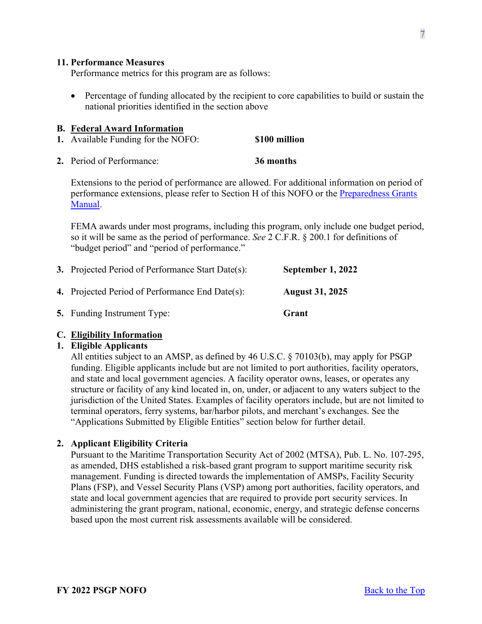#### <span id="page-6-0"></span>**11. Performance Measures**

Performance metrics for this program are as follows:

• Percentage of funding allocated by the recipient to core capabilities to build or sustain the national priorities identified in the section above

#### <span id="page-6-1"></span>**B. Federal Award Information**

- <span id="page-6-2"></span>**1.** Available Funding for the NOFO: **\$100 million**
- <span id="page-6-3"></span>**2.** Period of Performance: **36 months**

Extensions to the period of performance are allowed. For additional information on period of performance extensions, please refer to Section H of this NOFO or the Preparedness Grants [Manual.](https://www.fema.gov/media-library/assets/documents/178291)

FEMA awards under most programs, including this program, only include one budget period, so it will be same as the period of performance. *See* 2 C.F.R. § 200.1 for definitions of "budget period" and "period of performance."

<span id="page-6-5"></span><span id="page-6-4"></span>

| <b>3.</b> Projected Period of Performance Start Date(s): | September 1, 2022      |
|----------------------------------------------------------|------------------------|
| <b>4.</b> Projected Period of Performance End Date(s):   | <b>August 31, 2025</b> |
| <b>5.</b> Funding Instrument Type:                       | Grant                  |

#### <span id="page-6-7"></span><span id="page-6-6"></span>**C. Eligibility Information**

### <span id="page-6-8"></span>**1. Eligible Applicants**

All entities subject to an AMSP, as defined by 46 U.S.C. § 70103(b), may apply for PSGP funding. Eligible applicants include but are not limited to port authorities, facility operators, and state and local government agencies. A facility operator owns, leases, or operates any structure or facility of any kind located in, on, under, or adjacent to any waters subject to the jurisdiction of the United States. Examples of facility operators include, but are not limited to terminal operators, ferry systems, bar/harbor pilots, and merchant's exchanges. See the "Applications Submitted by Eligible Entities" section below for further detail.

#### <span id="page-6-9"></span>**2. Applicant Eligibility Criteria**

Pursuant to the Maritime Transportation Security Act of 2002 (MTSA), Pub. L. No. 107-295, as amended, DHS established a risk-based grant program to support maritime security risk management. Funding is directed towards the implementation of AMSPs, Facility Security Plans (FSP), and Vessel Security Plans (VSP) among port authorities, facility operators, and state and local government agencies that are required to provide port security services. In administering the grant program, national, economic, energy, and strategic defense concerns based upon the most current risk assessments available will be considered.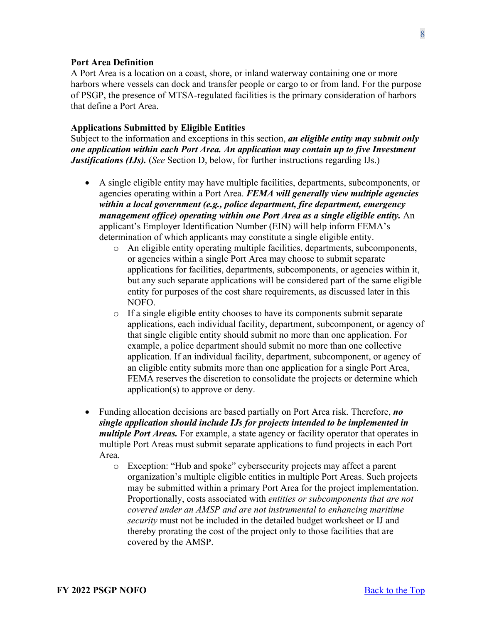#### **Port Area Definition**

A Port Area is a location on a coast, shore, or inland waterway containing one or more harbors where vessels can dock and transfer people or cargo to or from land. For the purpose of PSGP, the presence of MTSA-regulated facilities is the primary consideration of harbors that define a Port Area.

#### **Applications Submitted by Eligible Entities**

Subject to the information and exceptions in this section, *an eligible entity may submit only one application within each Port Area. An application may contain up to five Investment Justifications (IJs).* (*See* Section D, below, for further instructions regarding IJs.)

- A single eligible entity may have multiple facilities, departments, subcomponents, or agencies operating within a Port Area. *FEMA will generally view multiple agencies within a local government (e.g., police department, fire department, emergency management office) operating within one Port Area as a single eligible entity.* An applicant's Employer Identification Number (EIN) will help inform FEMA's determination of which applicants may constitute a single eligible entity.
	- o An eligible entity operating multiple facilities, departments, subcomponents, or agencies within a single Port Area may choose to submit separate applications for facilities, departments, subcomponents, or agencies within it, but any such separate applications will be considered part of the same eligible entity for purposes of the cost share requirements, as discussed later in this NOFO.
	- o If a single eligible entity chooses to have its components submit separate applications, each individual facility, department, subcomponent, or agency of that single eligible entity should submit no more than one application. For example, a police department should submit no more than one collective application. If an individual facility, department, subcomponent, or agency of an eligible entity submits more than one application for a single Port Area, FEMA reserves the discretion to consolidate the projects or determine which application(s) to approve or deny.
- Funding allocation decisions are based partially on Port Area risk. Therefore, *no single application should include IJs for projects intended to be implemented in multiple Port Areas.* For example, a state agency or facility operator that operates in multiple Port Areas must submit separate applications to fund projects in each Port Area.
	- o Exception: "Hub and spoke" cybersecurity projects may affect a parent organization's multiple eligible entities in multiple Port Areas. Such projects may be submitted within a primary Port Area for the project implementation. Proportionally, costs associated with *entities or subcomponents that are not covered under an AMSP and are not instrumental to enhancing maritime security* must not be included in the detailed budget worksheet or IJ and thereby prorating the cost of the project only to those facilities that are covered by the AMSP.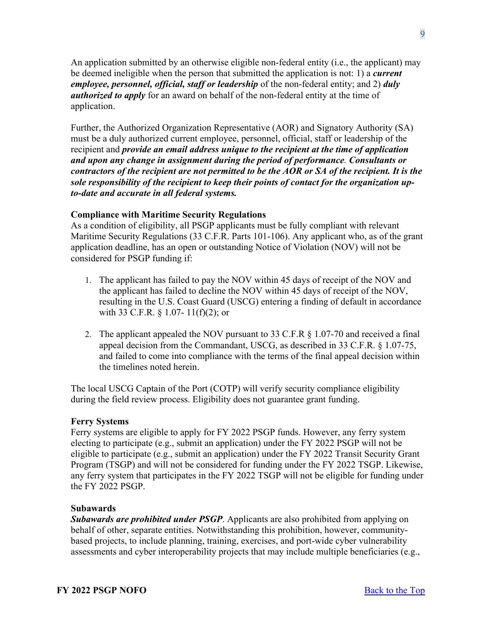An application submitted by an otherwise eligible non-federal entity (i.e., the applicant) may be deemed ineligible when the person that submitted the application is not: 1) a *current employee, personnel, official, staff or leadership* of the non-federal entity; and 2) *duly authorized to apply* for an award on behalf of the non-federal entity at the time of application.

Further, the Authorized Organization Representative (AOR) and Signatory Authority (SA) must be a duly authorized current employee, personnel, official, staff or leadership of the recipient and *provide an email address unique to the recipient at the time of application and upon any change in assignment during the period of performance. Consultants or contractors of the recipient are not permitted to be the AOR or SA of the recipient. It is the sole responsibility of the recipient to keep their points of contact for the organization upto-date and accurate in all federal systems.*

#### **Compliance with Maritime Security Regulations**

As a condition of eligibility, all PSGP applicants must be fully compliant with relevant Maritime Security Regulations (33 C.F.R. Parts 101-106). Any applicant who, as of the grant application deadline, has an open or outstanding Notice of Violation (NOV) will not be considered for PSGP funding if:

- 1. The applicant has failed to pay the NOV within 45 days of receipt of the NOV and the applicant has failed to decline the NOV within 45 days of receipt of the NOV, resulting in the U.S. Coast Guard (USCG) entering a finding of default in accordance with 33 C.F.R. § 1.07- 11(f)(2); or
- 2. The applicant appealed the NOV pursuant to 33 C.F.R § 1.07-70 and received a final appeal decision from the Commandant, USCG, as described in 33 C.F.R. § 1.07-75, and failed to come into compliance with the terms of the final appeal decision within the timelines noted herein.

The local USCG Captain of the Port (COTP) will verify security compliance eligibility during the field review process. Eligibility does not guarantee grant funding.

#### **Ferry Systems**

Ferry systems are eligible to apply for FY 2022 PSGP funds. However, any ferry system electing to participate (e.g., submit an application) under the FY 2022 PSGP will not be eligible to participate (e.g., submit an application) under the FY 2022 Transit Security Grant Program (TSGP) and will not be considered for funding under the FY 2022 TSGP. Likewise, any ferry system that participates in the FY 2022 TSGP will not be eligible for funding under the FY 2022 PSGP.

#### **Subawards**

*Subawards are prohibited under PSGP*. Applicants are also prohibited from applying on behalf of other, separate entities. Notwithstanding this prohibition, however, communitybased projects, to include planning, training, exercises, and port-wide cyber vulnerability assessments and cyber interoperability projects that may include multiple beneficiaries (e.g.,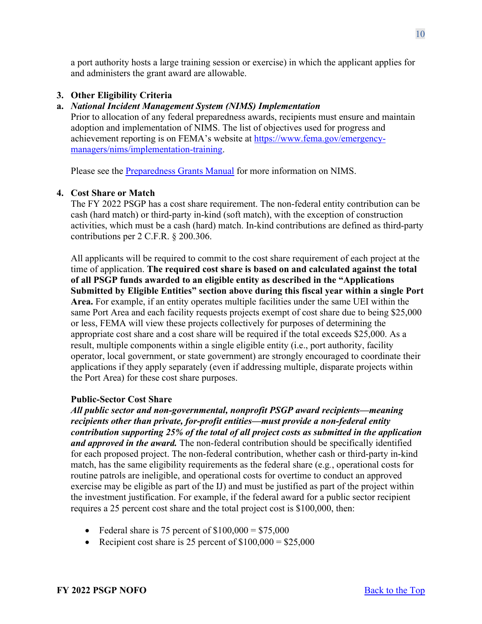a port authority hosts a large training session or exercise) in which the applicant applies for and administers the grant award are allowable.

## <span id="page-9-0"></span>**3. Other Eligibility Criteria**

## **a.** *National Incident Management System (NIMS) Implementation*

Prior to allocation of any federal preparedness awards, recipients must ensure and maintain adoption and implementation of NIMS. The list of objectives used for progress and achievement reporting is on FEMA's website at [https://www.fema.gov/emergency](https://www.fema.gov/emergency-managers/nims/implementation-training)[managers/nims/implementation-training.](https://www.fema.gov/emergency-managers/nims/implementation-training)

Please see the [Preparedness Grants Manual](https://www.fema.gov/media-library/assets/documents/178291) for more information on NIMS.

## <span id="page-9-1"></span>**4. Cost Share or Match**

The FY 2022 PSGP has a cost share requirement. The non-federal entity contribution can be cash (hard match) or third-party in-kind (soft match), with the exception of construction activities, which must be a cash (hard) match. In-kind contributions are defined as third-party contributions per 2 C.F.R. § 200.306.

All applicants will be required to commit to the cost share requirement of each project at the time of application. **The required cost share is based on and calculated against the total of all PSGP funds awarded to an eligible entity as described in the "Applications Submitted by Eligible Entities" section above during this fiscal year within a single Port Area.** For example, if an entity operates multiple facilities under the same UEI within the same Port Area and each facility requests projects exempt of cost share due to being \$25,000 or less, FEMA will view these projects collectively for purposes of determining the appropriate cost share and a cost share will be required if the total exceeds \$25,000. As a result, multiple components within a single eligible entity (i.e., port authority, facility operator, local government, or state government) are strongly encouraged to coordinate their applications if they apply separately (even if addressing multiple, disparate projects within the Port Area) for these cost share purposes.

## **Public-Sector Cost Share**

*All public sector and non-governmental, nonprofit PSGP award recipients—meaning recipients other than private, for-profit entities—must provide a non-federal entity contribution supporting 25% of the total of all project costs as submitted in the application and approved in the award.* The non-federal contribution should be specifically identified for each proposed project. The non-federal contribution, whether cash or third-party in-kind match, has the same eligibility requirements as the federal share (e.g*.*, operational costs for routine patrols are ineligible, and operational costs for overtime to conduct an approved exercise may be eligible as part of the IJ) and must be justified as part of the project within the investment justification. For example, if the federal award for a public sector recipient requires a 25 percent cost share and the total project cost is \$100,000, then:

- Federal share is 75 percent of  $$100,000 = $75,000$
- Recipient cost share is 25 percent of  $$100,000 = $25,000$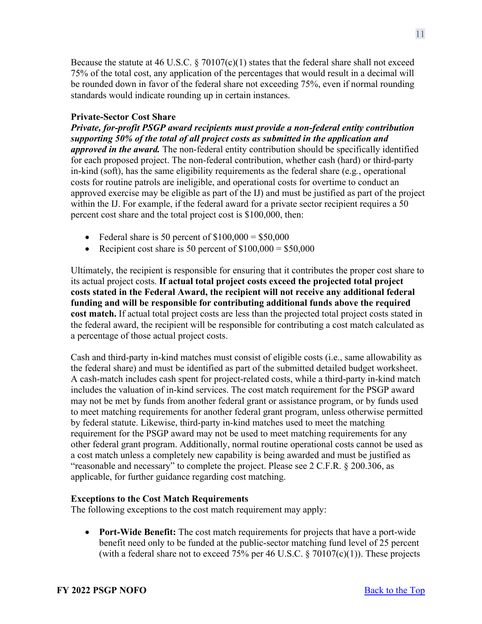Because the statute at 46 U.S.C.  $\S 70107(c)(1)$  states that the federal share shall not exceed 75% of the total cost, any application of the percentages that would result in a decimal will be rounded down in favor of the federal share not exceeding 75%, even if normal rounding standards would indicate rounding up in certain instances.

## **Private-Sector Cost Share**

*Private, for-profit PSGP award recipients must provide a non-federal entity contribution supporting 50% of the total of all project costs as submitted in the application and approved in the award.* The non-federal entity contribution should be specifically identified for each proposed project. The non-federal contribution, whether cash (hard) or third-party in-kind (soft), has the same eligibility requirements as the federal share (e.g*.*, operational costs for routine patrols are ineligible, and operational costs for overtime to conduct an approved exercise may be eligible as part of the IJ) and must be justified as part of the project within the IJ. For example, if the federal award for a private sector recipient requires a 50 percent cost share and the total project cost is \$100,000, then:

- Federal share is 50 percent of  $$100,000 = $50,000$
- Recipient cost share is 50 percent of  $$100,000 = $50,000$

Ultimately, the recipient is responsible for ensuring that it contributes the proper cost share to its actual project costs. **If actual total project costs exceed the projected total project costs stated in the Federal Award, the recipient will not receive any additional federal funding and will be responsible for contributing additional funds above the required cost match.** If actual total project costs are less than the projected total project costs stated in the federal award, the recipient will be responsible for contributing a cost match calculated as a percentage of those actual project costs.

Cash and third-party in-kind matches must consist of eligible costs (i.e., same allowability as the federal share) and must be identified as part of the submitted detailed budget worksheet. A cash-match includes cash spent for project-related costs, while a third-party in-kind match includes the valuation of in-kind services. The cost match requirement for the PSGP award may not be met by funds from another federal grant or assistance program, or by funds used to meet matching requirements for another federal grant program, unless otherwise permitted by federal statute. Likewise, third-party in-kind matches used to meet the matching requirement for the PSGP award may not be used to meet matching requirements for any other federal grant program. Additionally, normal routine operational costs cannot be used as a cost match unless a completely new capability is being awarded and must be justified as "reasonable and necessary" to complete the project. Please see 2 C.F.R. § 200.306, as applicable, for further guidance regarding cost matching.

## **Exceptions to the Cost Match Requirements**

The following exceptions to the cost match requirement may apply:

• **Port-Wide Benefit:** The cost match requirements for projects that have a port-wide benefit need only to be funded at the public-sector matching fund level of 25 percent (with a federal share not to exceed 75% per 46 U.S.C.  $\S 70107(c)(1)$ ). These projects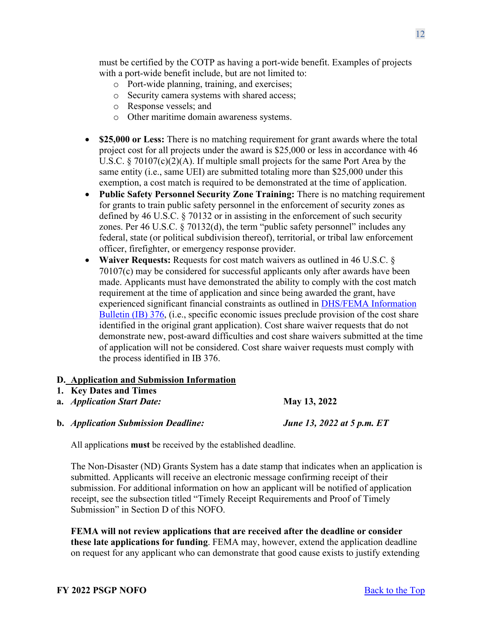must be certified by the COTP as having a port-wide benefit. Examples of projects with a port-wide benefit include, but are not limited to:

- o Port-wide planning, training, and exercises;
- o Security camera systems with shared access;
- o Response vessels; and
- o Other maritime domain awareness systems.
- **\$25,000 or Less:** There is no matching requirement for grant awards where the total project cost for all projects under the award is \$25,000 or less in accordance with 46 U.S.C. § 70107(c)(2)(A). If multiple small projects for the same Port Area by the same entity (i.e., same UEI) are submitted totaling more than \$25,000 under this exemption, a cost match is required to be demonstrated at the time of application.
- **Public Safety Personnel Security Zone Training:** There is no matching requirement for grants to train public safety personnel in the enforcement of security zones as defined by 46 U.S.C. § 70132 or in assisting in the enforcement of such security zones. Per 46 U.S.C. § 70132(d), the term "public safety personnel" includes any federal, state (or political subdivision thereof), territorial, or tribal law enforcement officer, firefighter, or emergency response provider.
- **Waiver Requests:** Requests for cost match waivers as outlined in 46 U.S.C. § 70107(c) may be considered for successful applicants only after awards have been made. Applicants must have demonstrated the ability to comply with the cost match requirement at the time of application and since being awarded the grant, have experienced significant financial constraints as outlined in [DHS/FEMA Information](https://www.fema.gov/pdf/government/grant/bulletins/info376.pdf)  [Bulletin \(IB\) 376,](https://www.fema.gov/pdf/government/grant/bulletins/info376.pdf) (i.e., specific economic issues preclude provision of the cost share identified in the original grant application). Cost share waiver requests that do not demonstrate new, post-award difficulties and cost share waivers submitted at the time of application will not be considered. Cost share waiver requests must comply with the process identified in IB 376.

## <span id="page-11-0"></span>**D. Application and Submission Information**

- <span id="page-11-1"></span>**1. Key Dates and Times**
- **a.** *Application Start Date:* **May 13, 2022**
- **b.** *Application Submission Deadline: June 13, 2022 at 5 p.m. ET*

All applications **must** be received by the established deadline.

The Non-Disaster (ND) Grants System has a date stamp that indicates when an application is submitted. Applicants will receive an electronic message confirming receipt of their submission. For additional information on how an applicant will be notified of application receipt, see the subsection titled "Timely Receipt Requirements and Proof of Timely Submission" in Section D of this NOFO.

**FEMA will not review applications that are received after the deadline or consider these late applications for funding**. FEMA may, however, extend the application deadline on request for any applicant who can demonstrate that good cause exists to justify extending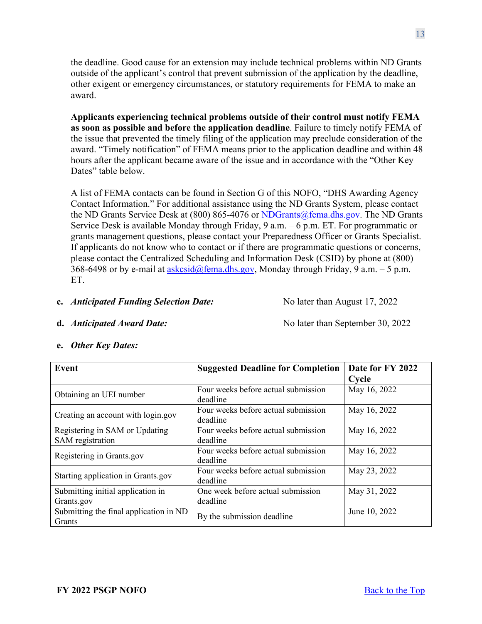the deadline. Good cause for an extension may include technical problems within ND Grants outside of the applicant's control that prevent submission of the application by the deadline, other exigent or emergency circumstances, or statutory requirements for FEMA to make an award.

**Applicants experiencing technical problems outside of their control must notify FEMA as soon as possible and before the application deadline**. Failure to timely notify FEMA of the issue that prevented the timely filing of the application may preclude consideration of the award. "Timely notification" of FEMA means prior to the application deadline and within 48 hours after the applicant became aware of the issue and in accordance with the "Other Key Dates" table below.

A list of FEMA contacts can be found in Section G of this NOFO, "DHS Awarding Agency Contact Information." For additional assistance using the ND Grants System, please contact the ND Grants Service Desk at (800) 865-4076 or [NDGrants@fema.dhs.gov.](mailto:NDGrants@fema.dhs.gov) The ND Grants Service Desk is available Monday through Friday, 9 a.m. – 6 p.m. ET. For programmatic or grants management questions, please contact your Preparedness Officer or Grants Specialist. If applicants do not know who to contact or if there are programmatic questions or concerns, please contact the Centralized Scheduling and Information Desk (CSID) by phone at (800) 368-6498 or by e-mail at [askcsid@fema.dhs.gov,](mailto:askcsid@fema.dhs.gov) Monday through Friday, 9 a.m.  $-5$  p.m. ET.

#### **c.** *Anticipated Funding Selection Date:* No later than August 17, 2022

**d.** *Anticipated Award Date: No later than September 30, 2022* 

| Event                                              | <b>Suggested Deadline for Completion</b>        | Date for FY 2022 |
|----------------------------------------------------|-------------------------------------------------|------------------|
|                                                    |                                                 | Cycle            |
| Obtaining an UEI number                            | Four weeks before actual submission<br>deadline | May 16, 2022     |
| Creating an account with login.gov                 | Four weeks before actual submission<br>deadline | May 16, 2022     |
| Registering in SAM or Updating<br>SAM registration | Four weeks before actual submission<br>deadline | May 16, 2022     |
| Registering in Grants.gov                          | Four weeks before actual submission<br>deadline | May 16, 2022     |
| Starting application in Grants.gov                 | Four weeks before actual submission<br>deadline | May 23, 2022     |
| Submitting initial application in<br>Grants.gov    | One week before actual submission<br>deadline   | May 31, 2022     |
| Submitting the final application in ND<br>Grants   | By the submission deadline                      | June 10, 2022    |

**e.** *Other Key Dates:*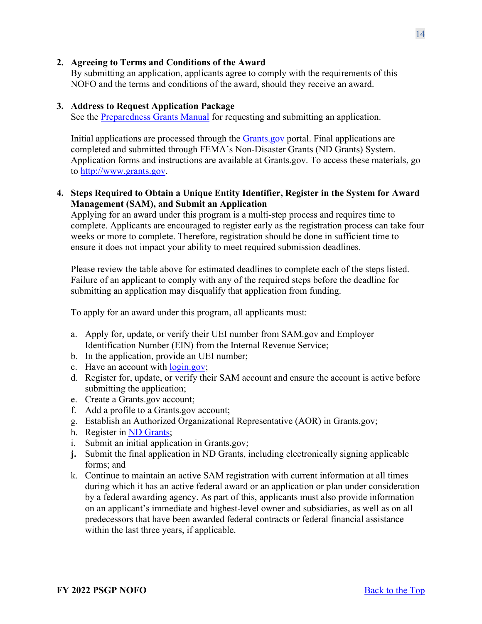#### <span id="page-13-0"></span>**2. Agreeing to Terms and Conditions of the Award**

By submitting an application, applicants agree to comply with the requirements of this NOFO and the terms and conditions of the award, should they receive an award.

#### <span id="page-13-1"></span>**3. Address to Request Application Package**

See the [Preparedness Grants Manual](https://www.fema.gov/media-library/assets/documents/178291) for requesting and submitting an application.

Initial applications are processed through the **Grants** gov portal. Final applications are completed and submitted through FEMA's Non-Disaster Grants (ND Grants) System. Application forms and instructions are available at Grants.gov. To access these materials, go to [http://www.grants.gov.](http://www.grants.gov/)

## <span id="page-13-2"></span>**4. Steps Required to Obtain a Unique Entity Identifier, Register in the System for Award Management (SAM), and Submit an Application**

Applying for an award under this program is a multi-step process and requires time to complete. Applicants are encouraged to register early as the registration process can take four weeks or more to complete. Therefore, registration should be done in sufficient time to ensure it does not impact your ability to meet required submission deadlines.

Please review the table above for estimated deadlines to complete each of the steps listed. Failure of an applicant to comply with any of the required steps before the deadline for submitting an application may disqualify that application from funding.

To apply for an award under this program, all applicants must:

- a. Apply for, update, or verify their UEI number from SAM.gov and Employer Identification Number (EIN) from the Internal Revenue Service;
- b. In the application, provide an UEI number;
- c. Have an account with [login.gov;](https://www.login.gov/)
- d. Register for, update, or verify their SAM account and ensure the account is active before submitting the application;
- e. Create a Grants.gov account;
- f. Add a profile to a Grants.gov account;
- g. Establish an Authorized Organizational Representative (AOR) in Grants.gov;
- h. Register in [ND Grants;](https://portal.fema.gov/famsVuWeb/home)
- i. Submit an initial application in Grants.gov;
- **j.** Submit the final application in ND Grants, including electronically signing applicable forms; and
- k. Continue to maintain an active SAM registration with current information at all times during which it has an active federal award or an application or plan under consideration by a federal awarding agency. As part of this, applicants must also provide information on an applicant's immediate and highest-level owner and subsidiaries, as well as on all predecessors that have been awarded federal contracts or federal financial assistance within the last three years, if applicable.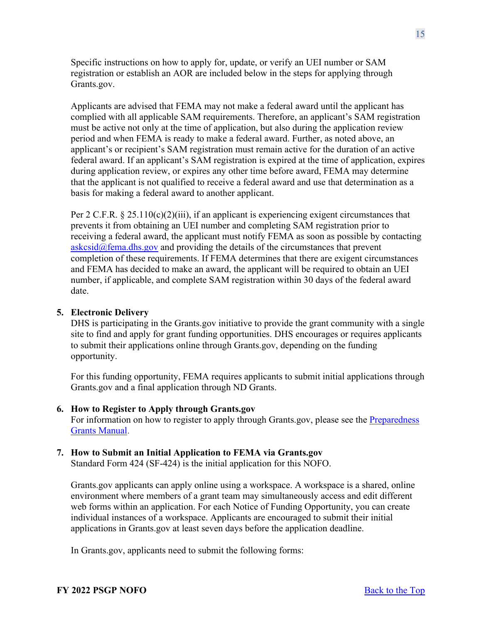Specific instructions on how to apply for, update, or verify an UEI number or SAM registration or establish an AOR are included below in the steps for applying through Grants.gov.

Applicants are advised that FEMA may not make a federal award until the applicant has complied with all applicable SAM requirements. Therefore, an applicant's SAM registration must be active not only at the time of application, but also during the application review period and when FEMA is ready to make a federal award. Further, as noted above, an applicant's or recipient's SAM registration must remain active for the duration of an active federal award. If an applicant's SAM registration is expired at the time of application, expires during application review, or expires any other time before award, FEMA may determine that the applicant is not qualified to receive a federal award and use that determination as a basis for making a federal award to another applicant.

Per 2 C.F.R. § 25.110(c)(2)(iii), if an applicant is experiencing exigent circumstances that prevents it from obtaining an UEI number and completing SAM registration prior to receiving a federal award, the applicant must notify FEMA as soon as possible by contacting  $askcsid@fema.dhs.gov$  and providing the details of the circumstances that prevent completion of these requirements. If FEMA determines that there are exigent circumstances and FEMA has decided to make an award, the applicant will be required to obtain an UEI number, if applicable, and complete SAM registration within 30 days of the federal award date.

#### <span id="page-14-0"></span>**5. Electronic Delivery**

DHS is participating in the Grants.gov initiative to provide the grant community with a single site to find and apply for grant funding opportunities. DHS encourages or requires applicants to submit their applications online through Grants.gov, depending on the funding opportunity.

For this funding opportunity, FEMA requires applicants to submit initial applications through Grants.gov and a final application through ND Grants.

#### <span id="page-14-1"></span>**6. How to Register to Apply through Grants.gov**

For information on how to register to apply through Grants.gov, please see the [Preparedness](https://www.fema.gov/media-library/assets/documents/178291)  [Grants Manual.](https://www.fema.gov/media-library/assets/documents/178291)

### <span id="page-14-2"></span>**7. How to Submit an Initial Application to FEMA via Grants.gov**

Standard Form 424 (SF-424) is the initial application for this NOFO.

Grants.gov applicants can apply online using a workspace. A workspace is a shared, online environment where members of a grant team may simultaneously access and edit different web forms within an application. For each Notice of Funding Opportunity, you can create individual instances of a workspace. Applicants are encouraged to submit their initial applications in Grants.gov at least seven days before the application deadline.

In Grants.gov, applicants need to submit the following forms: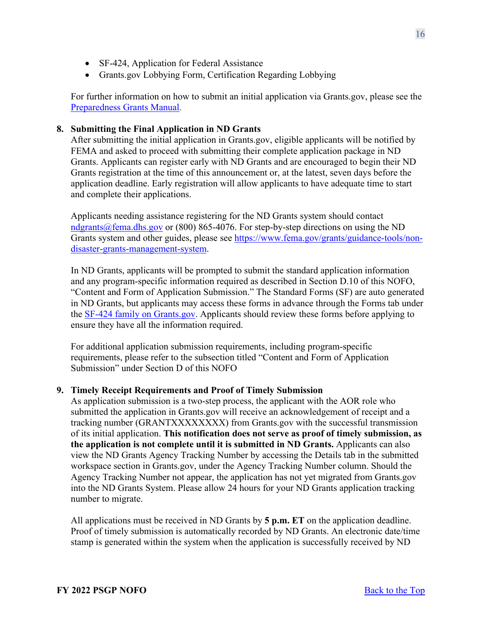- SF-424, Application for Federal Assistance
- Grants.gov Lobbying Form, Certification Regarding Lobbying

For further information on how to submit an initial application via Grants.gov, please see the [Preparedness Grants Manual.](https://www.fema.gov/media-library/assets/documents/178291)

#### <span id="page-15-0"></span>**8. Submitting the Final Application in ND Grants**

After submitting the initial application in Grants.gov, eligible applicants will be notified by FEMA and asked to proceed with submitting their complete application package in ND Grants. Applicants can register early with ND Grants and are encouraged to begin their ND Grants registration at the time of this announcement or, at the latest, seven days before the application deadline. Early registration will allow applicants to have adequate time to start and complete their applications.

Applicants needing assistance registering for the ND Grants system should contact [ndgrants@fema.dhs.gov](mailto:ndgrants@fema.dhs.gov) or (800) 865-4076. For step-by-step directions on using the ND Grants system and other guides, please see [https://www.fema.gov/grants/guidance-tools/non](https://www.fema.gov/grants/guidance-tools/non-disaster-grants-management-system)[disaster-grants-management-system.](https://www.fema.gov/grants/guidance-tools/non-disaster-grants-management-system)

In ND Grants, applicants will be prompted to submit the standard application information and any program-specific information required as described in Section D.10 of this NOFO, "Content and Form of Application Submission." The Standard Forms (SF) are auto generated in ND Grants, but applicants may access these forms in advance through the Forms tab under the [SF-424 family on Grants.gov.](https://www.grants.gov/forms/sf-424-family.html) Applicants should review these forms before applying to ensure they have all the information required.

For additional application submission requirements, including program-specific requirements, please refer to the subsection titled "Content and Form of Application Submission" under Section D of this NOFO

#### <span id="page-15-1"></span>**9. Timely Receipt Requirements and Proof of Timely Submission**

As application submission is a two-step process, the applicant with the AOR role who submitted the application in Grants.gov will receive an acknowledgement of receipt and a tracking number (GRANTXXXXXXXX) from Grants.gov with the successful transmission of its initial application. **This notification does not serve as proof of timely submission, as the application is not complete until it is submitted in ND Grants.** Applicants can also view the ND Grants Agency Tracking Number by accessing the Details tab in the submitted workspace section in Grants.gov, under the Agency Tracking Number column. Should the Agency Tracking Number not appear, the application has not yet migrated from Grants.gov into the ND Grants System. Please allow 24 hours for your ND Grants application tracking number to migrate.

All applications must be received in ND Grants by **5 p.m. ET** on the application deadline. Proof of timely submission is automatically recorded by ND Grants. An electronic date/time stamp is generated within the system when the application is successfully received by ND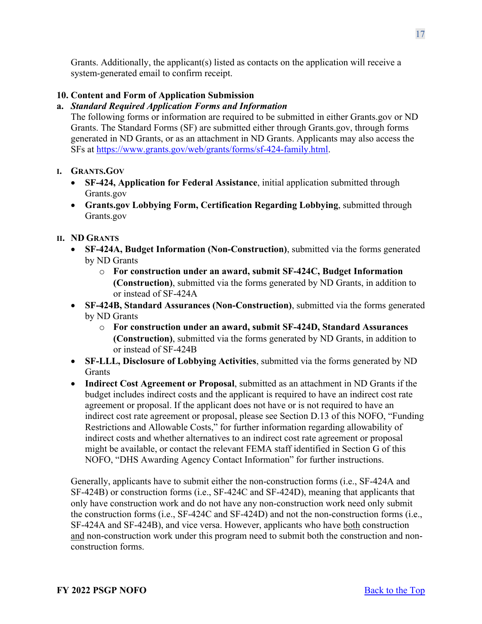Grants. Additionally, the applicant(s) listed as contacts on the application will receive a system-generated email to confirm receipt.

## <span id="page-16-0"></span>**10. Content and Form of Application Submission**

## **a.** *Standard Required Application Forms and Information*

The following forms or information are required to be submitted in either Grants.gov or ND Grants. The Standard Forms (SF) are submitted either through Grants.gov, through forms generated in ND Grants, or as an attachment in ND Grants. Applicants may also access the SFs at [https://www.grants.gov/web/grants/forms/sf-424-family.html.](https://www.grants.gov/web/grants/forms/sf-424-family.html)

## **I. GRANTS.GOV**

- **SF-424, Application for Federal Assistance**, initial application submitted through Grants.gov
- **Grants.gov Lobbying Form, Certification Regarding Lobbying**, submitted through Grants.gov

## **II. ND GRANTS**

- **SF-424A, Budget Information (Non-Construction)**, submitted via the forms generated by ND Grants
	- o **For construction under an award, submit SF-424C, Budget Information (Construction)**, submitted via the forms generated by ND Grants, in addition to or instead of SF-424A
- **SF-424B, Standard Assurances (Non-Construction)**, submitted via the forms generated by ND Grants
	- o **For construction under an award, submit SF-424D, Standard Assurances (Construction)**, submitted via the forms generated by ND Grants, in addition to or instead of SF-424B
- **SF-LLL, Disclosure of Lobbying Activities**, submitted via the forms generated by ND **Grants**
- **Indirect Cost Agreement or Proposal**, submitted as an attachment in ND Grants if the budget includes indirect costs and the applicant is required to have an indirect cost rate agreement or proposal. If the applicant does not have or is not required to have an indirect cost rate agreement or proposal, please see Section D.13 of this NOFO, "Funding Restrictions and Allowable Costs," for further information regarding allowability of indirect costs and whether alternatives to an indirect cost rate agreement or proposal might be available, or contact the relevant FEMA staff identified in Section G of this NOFO, "DHS Awarding Agency Contact Information" for further instructions.

Generally, applicants have to submit either the non-construction forms (i.e., SF-424A and SF-424B) or construction forms (i.e., SF-424C and SF-424D), meaning that applicants that only have construction work and do not have any non-construction work need only submit the construction forms (i.e., SF-424C and SF-424D) and not the non-construction forms (i.e., SF-424A and SF-424B), and vice versa. However, applicants who have both construction and non-construction work under this program need to submit both the construction and nonconstruction forms.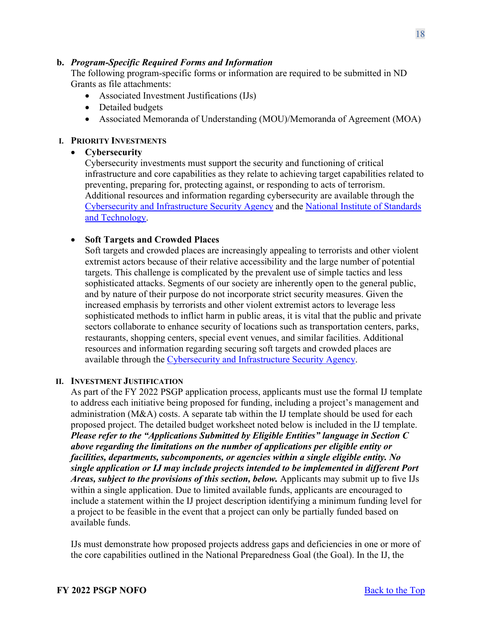#### **b.** *Program-Specific Required Forms and Information*

The following program-specific forms or information are required to be submitted in ND Grants as file attachments:

- Associated Investment Justifications (IJs)
- Detailed budgets
- Associated Memoranda of Understanding (MOU)/Memoranda of Agreement (MOA)

#### **I. PRIORITY INVESTMENTS**

#### • **Cybersecurity**

Cybersecurity investments must support the security and functioning of critical infrastructure and core capabilities as they relate to achieving target capabilities related to preventing, preparing for, protecting against, or responding to acts of terrorism. Additional resources and information regarding cybersecurity are available through the [Cybersecurity and Infrastructure Security Agency](https://www.cisa.gov/cybersecurity) and the [National Institute of Standards](https://www.nist.gov/cyberframework)  [and Technology.](https://www.nist.gov/cyberframework)

### • **Soft Targets and Crowded Places**

Soft targets and crowded places are increasingly appealing to terrorists and other violent extremist actors because of their relative accessibility and the large number of potential targets. This challenge is complicated by the prevalent use of simple tactics and less sophisticated attacks. Segments of our society are inherently open to the general public, and by nature of their purpose do not incorporate strict security measures. Given the increased emphasis by terrorists and other violent extremist actors to leverage less sophisticated methods to inflict harm in public areas, it is vital that the public and private sectors collaborate to enhance security of locations such as transportation centers, parks, restaurants, shopping centers, special event venues, and similar facilities. Additional resources and information regarding securing soft targets and crowded places are available through the [Cybersecurity and Infrastructure Security Agency.](https://www.cisa.gov/securing-public-gatherings)

#### **II. INVESTMENT JUSTIFICATION**

As part of the FY 2022 PSGP application process, applicants must use the formal IJ template to address each initiative being proposed for funding, including a project's management and administration (M&A) costs. A separate tab within the IJ template should be used for each proposed project. The detailed budget worksheet noted below is included in the IJ template. *Please refer to the "Applications Submitted by Eligible Entities" language in Section C above regarding the limitations on the number of applications per eligible entity or facilities, departments, subcomponents, or agencies within a single eligible entity. No single application or IJ may include projects intended to be implemented in different Port Areas, subject to the provisions of this section, below. Applicants may submit up to five IJs* within a single application. Due to limited available funds, applicants are encouraged to include a statement within the IJ project description identifying a minimum funding level for a project to be feasible in the event that a project can only be partially funded based on available funds.

IJs must demonstrate how proposed projects address gaps and deficiencies in one or more of the core capabilities outlined in the National Preparedness Goal (the Goal). In the IJ, the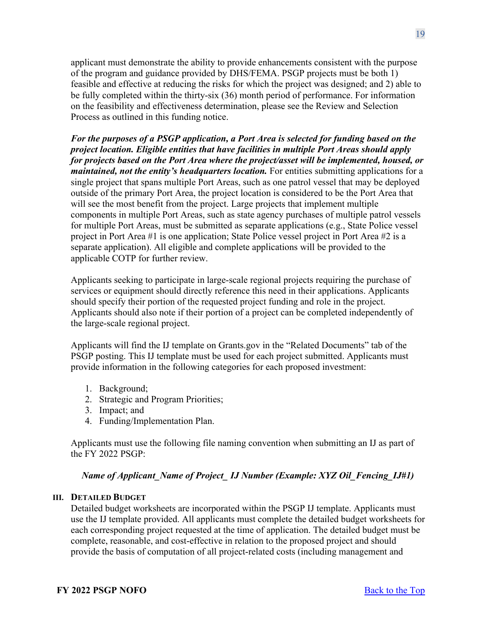applicant must demonstrate the ability to provide enhancements consistent with the purpose of the program and guidance provided by DHS/FEMA. PSGP projects must be both 1) feasible and effective at reducing the risks for which the project was designed; and 2) able to be fully completed within the thirty-six (36) month period of performance. For information on the feasibility and effectiveness determination, please see the Review and Selection Process as outlined in this funding notice.

*For the purposes of a PSGP application, a Port Area is selected for funding based on the project location. Eligible entities that have facilities in multiple Port Areas should apply for projects based on the Port Area where the project/asset will be implemented, housed, or maintained, not the entity's headquarters location.* For entities submitting applications for a single project that spans multiple Port Areas, such as one patrol vessel that may be deployed outside of the primary Port Area, the project location is considered to be the Port Area that will see the most benefit from the project. Large projects that implement multiple components in multiple Port Areas, such as state agency purchases of multiple patrol vessels for multiple Port Areas, must be submitted as separate applications (e.g., State Police vessel project in Port Area #1 is one application; State Police vessel project in Port Area #2 is a separate application). All eligible and complete applications will be provided to the applicable COTP for further review.

Applicants seeking to participate in large-scale regional projects requiring the purchase of services or equipment should directly reference this need in their applications. Applicants should specify their portion of the requested project funding and role in the project. Applicants should also note if their portion of a project can be completed independently of the large-scale regional project.

Applicants will find the IJ template on Grants.gov in the "Related Documents" tab of the PSGP posting. This IJ template must be used for each project submitted. Applicants must provide information in the following categories for each proposed investment:

- 1. Background;
- 2. Strategic and Program Priorities;
- 3. Impact; and
- 4. Funding/Implementation Plan.

Applicants must use the following file naming convention when submitting an IJ as part of the FY 2022 PSGP:

## *Name of Applicant Name of Project IJ Number (Example: XYZ Oil Fencing IJ#1)*

### **III. DETAILED BUDGET**

Detailed budget worksheets are incorporated within the PSGP IJ template. Applicants must use the IJ template provided. All applicants must complete the detailed budget worksheets for each corresponding project requested at the time of application. The detailed budget must be complete, reasonable, and cost-effective in relation to the proposed project and should provide the basis of computation of all project-related costs (including management and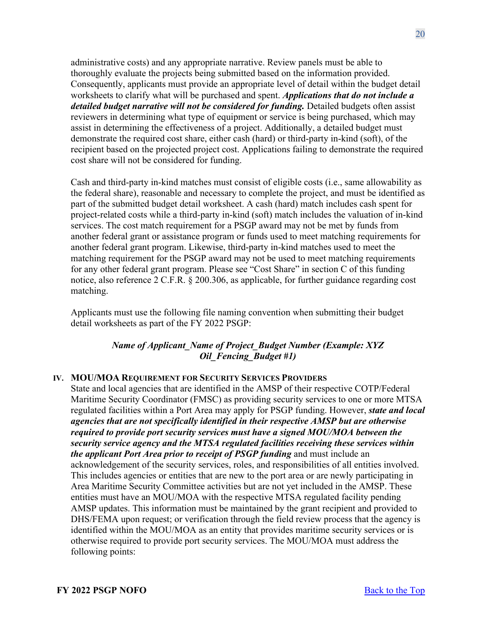administrative costs) and any appropriate narrative. Review panels must be able to thoroughly evaluate the projects being submitted based on the information provided. Consequently, applicants must provide an appropriate level of detail within the budget detail worksheets to clarify what will be purchased and spent. *Applications that do not include a detailed budget narrative will not be considered for funding.* Detailed budgets often assist reviewers in determining what type of equipment or service is being purchased, which may assist in determining the effectiveness of a project. Additionally, a detailed budget must demonstrate the required cost share, either cash (hard) or third-party in-kind (soft), of the recipient based on the projected project cost. Applications failing to demonstrate the required cost share will not be considered for funding.

Cash and third-party in-kind matches must consist of eligible costs (i.e., same allowability as the federal share), reasonable and necessary to complete the project, and must be identified as part of the submitted budget detail worksheet. A cash (hard) match includes cash spent for project-related costs while a third-party in-kind (soft) match includes the valuation of in-kind services. The cost match requirement for a PSGP award may not be met by funds from another federal grant or assistance program or funds used to meet matching requirements for another federal grant program. Likewise, third-party in-kind matches used to meet the matching requirement for the PSGP award may not be used to meet matching requirements for any other federal grant program. Please see "Cost Share" in section C of this funding notice, also reference 2 C.F.R. § 200.306, as applicable, for further guidance regarding cost matching.

Applicants must use the following file naming convention when submitting their budget detail worksheets as part of the FY 2022 PSGP:

## *Name of Applicant\_Name of Project\_Budget Number (Example: XYZ Oil\_Fencing\_Budget #1)*

### **IV. MOU/MOA REQUIREMENT FOR SECURITY SERVICES PROVIDERS**

State and local agencies that are identified in the AMSP of their respective COTP/Federal Maritime Security Coordinator (FMSC) as providing security services to one or more MTSA regulated facilities within a Port Area may apply for PSGP funding. However, *state and local agencies that are not specifically identified in their respective AMSP but are otherwise required to provide port security services must have a signed MOU/MOA between the security service agency and the MTSA regulated facilities receiving these services within the applicant Port Area prior to receipt of PSGP funding* and must include an acknowledgement of the security services, roles, and responsibilities of all entities involved. This includes agencies or entities that are new to the port area or are newly participating in Area Maritime Security Committee activities but are not yet included in the AMSP. These entities must have an MOU/MOA with the respective MTSA regulated facility pending AMSP updates. This information must be maintained by the grant recipient and provided to DHS/FEMA upon request; or verification through the field review process that the agency is identified within the MOU/MOA as an entity that provides maritime security services or is otherwise required to provide port security services. The MOU/MOA must address the following points: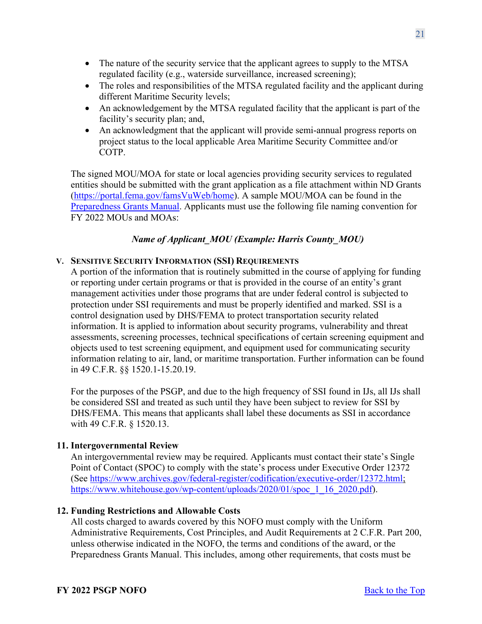- The nature of the security service that the applicant agrees to supply to the MTSA regulated facility (e.g., waterside surveillance, increased screening);
- The roles and responsibilities of the MTSA regulated facility and the applicant during different Maritime Security levels;
- An acknowledgement by the MTSA regulated facility that the applicant is part of the facility's security plan; and,
- An acknowledgment that the applicant will provide semi-annual progress reports on project status to the local applicable Area Maritime Security Committee and/or COTP.

The signed MOU/MOA for state or local agencies providing security services to regulated entities should be submitted with the grant application as a file attachment within ND Grants [\(https://portal.fema.gov/famsVuWeb/home\)](https://portal.fema.gov/famsVuWeb/home). A sample MOU/MOA can be found in the [Preparedness Grants Manual.](https://www.fema.gov/media-library/assets/documents/178291) Applicants must use the following file naming convention for FY 2022 MOUs and MOAs:

## *Name of Applicant\_MOU (Example: Harris County\_MOU)*

## **V. SENSITIVE SECURITY INFORMATION (SSI) REQUIREMENTS**

A portion of the information that is routinely submitted in the course of applying for funding or reporting under certain programs or that is provided in the course of an entity's grant management activities under those programs that are under federal control is subjected to protection under SSI requirements and must be properly identified and marked. SSI is a control designation used by DHS/FEMA to protect transportation security related information. It is applied to information about security programs, vulnerability and threat assessments, screening processes, technical specifications of certain screening equipment and objects used to test screening equipment, and equipment used for communicating security information relating to air, land, or maritime transportation. Further information can be found in 49 C.F.R. §§ 1520.1-15.20.19.

For the purposes of the PSGP, and due to the high frequency of SSI found in IJs, all IJs shall be considered SSI and treated as such until they have been subject to review for SSI by DHS/FEMA. This means that applicants shall label these documents as SSI in accordance with 49 C.F.R. § 1520.13.

### <span id="page-20-0"></span>**11. Intergovernmental Review**

An intergovernmental review may be required. Applicants must contact their state's Single Point of Contact (SPOC) to comply with the state's process under Executive Order 12372 (See [https://www.archives.gov/federal-register/codification/executive-order/12372.html;](https://www.archives.gov/federal-register/codification/executive-order/12372.html) [https://www.whitehouse.gov/wp-content/uploads/2020/01/spoc\\_1\\_16\\_2020.pdf\)](https://www.whitehouse.gov/wp-content/uploads/2020/04/SPOC-4-13-20.pdf).

### <span id="page-20-1"></span>**12. Funding Restrictions and Allowable Costs**

All costs charged to awards covered by this NOFO must comply with the Uniform Administrative Requirements, Cost Principles, and Audit Requirements at 2 C.F.R. Part 200, unless otherwise indicated in the NOFO, the terms and conditions of the award, or the Preparedness Grants Manual. This includes, among other requirements, that costs must be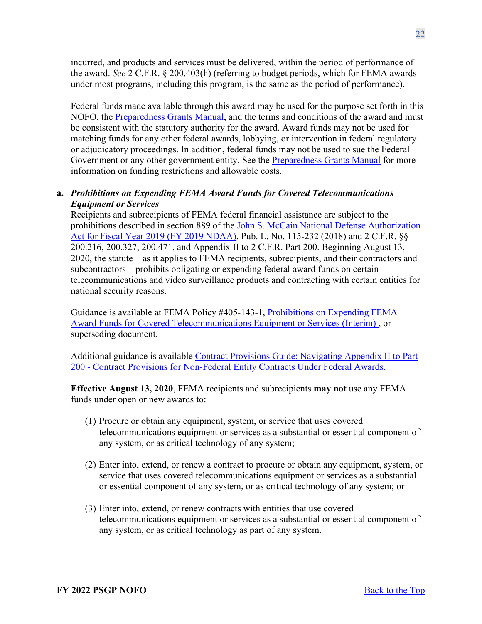incurred, and products and services must be delivered, within the period of performance of the award. *See* 2 C.F.R. § 200.403(h) (referring to budget periods, which for FEMA awards under most programs, including this program, is the same as the period of performance).

Federal funds made available through this award may be used for the purpose set forth in this NOFO, the [Preparedness Grants Manual,](https://www.fema.gov/media-library/assets/documents/178291) and the terms and conditions of the award and must be consistent with the statutory authority for the award. Award funds may not be used for matching funds for any other federal awards, lobbying, or intervention in federal regulatory or adjudicatory proceedings. In addition, federal funds may not be used to sue the Federal Government or any other government entity. See the [Preparedness Grants Manual](https://www.fema.gov/media-library/assets/documents/178291) for more information on funding restrictions and allowable costs.

## **a.** *Prohibitions on Expending FEMA Award Funds for Covered Telecommunications Equipment or Services*

Recipients and subrecipients of FEMA federal financial assistance are subject to the prohibitions described in section 889 of the [John S. McCain National Defense Authorization](https://www.congress.gov/bill/115th-congress/house-bill/5515/text?format=txt)  [Act for Fiscal Year 2019 \(FY 2019 NDAA\),](https://www.congress.gov/bill/115th-congress/house-bill/5515/text?format=txt) Pub. L. No. 115-232 (2018) and 2 C.F.R. §§ 200.216, 200.327, 200.471, and Appendix II to 2 C.F.R. Part 200. Beginning August 13, 2020, the statute – as it applies to FEMA recipients, subrecipients, and their contractors and subcontractors – prohibits obligating or expending federal award funds on certain telecommunications and video surveillance products and contracting with certain entities for national security reasons.

Guidance is available at FEMA Policy #405-143-1, [Prohibitions on Expending FEMA](https://www.fema.gov/sites/default/files/documents/fema_prohibitions-expending-fema-award-funds-covered-telecommunications-equipment-services.pdf)  [Award Funds for Covered Telecommunications Equipment or Services \(Interim\) ,](https://www.fema.gov/sites/default/files/documents/fema_prohibitions-expending-fema-award-funds-covered-telecommunications-equipment-services.pdf) or superseding document.

Additional guidance is available [Contract Provisions Guide: Navigating Appendix II to Part](https://www.fema.gov/sites/default/files/documents/fema_contract-provisions-guide_6-14-2021.pdf)  [200 - Contract Provisions for Non-Federal Entity Contracts Under Federal Awards.](https://www.fema.gov/sites/default/files/documents/fema_contract-provisions-guide_6-14-2021.pdf)

**Effective August 13, 2020**, FEMA recipients and subrecipients **may not** use any FEMA funds under open or new awards to:

- (1) Procure or obtain any equipment, system, or service that uses covered telecommunications equipment or services as a substantial or essential component of any system, or as critical technology of any system;
- (2) Enter into, extend, or renew a contract to procure or obtain any equipment, system, or service that uses covered telecommunications equipment or services as a substantial or essential component of any system, or as critical technology of any system; or
- (3) Enter into, extend, or renew contracts with entities that use covered telecommunications equipment or services as a substantial or essential component of any system, or as critical technology as part of any system.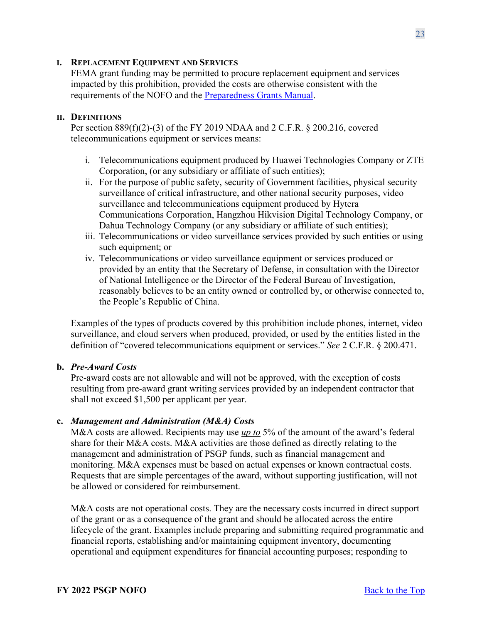#### **I. REPLACEMENT EQUIPMENT AND SERVICES**

FEMA grant funding may be permitted to procure replacement equipment and services impacted by this prohibition, provided the costs are otherwise consistent with the requirements of the NOFO and the [Preparedness Grants Manual.](https://www.fema.gov/media-library/assets/documents/178291)

#### **II. DEFINITIONS**

Per section 889(f)(2)-(3) of the FY 2019 NDAA and 2 C.F.R. § 200.216, covered telecommunications equipment or services means:

- i. Telecommunications equipment produced by Huawei Technologies Company or ZTE Corporation, (or any subsidiary or affiliate of such entities);
- ii. For the purpose of public safety, security of Government facilities, physical security surveillance of critical infrastructure, and other national security purposes, video surveillance and telecommunications equipment produced by Hytera Communications Corporation, Hangzhou Hikvision Digital Technology Company, or Dahua Technology Company (or any subsidiary or affiliate of such entities);
- iii. Telecommunications or video surveillance services provided by such entities or using such equipment; or
- iv. Telecommunications or video surveillance equipment or services produced or provided by an entity that the Secretary of Defense, in consultation with the Director of National Intelligence or the Director of the Federal Bureau of Investigation, reasonably believes to be an entity owned or controlled by, or otherwise connected to, the People's Republic of China.

Examples of the types of products covered by this prohibition include phones, internet, video surveillance, and cloud servers when produced, provided, or used by the entities listed in the definition of "covered telecommunications equipment or services." *See* 2 C.F.R. § 200.471.

### **b.** *Pre-Award Costs*

Pre-award costs are not allowable and will not be approved, with the exception of costs resulting from pre-award grant writing services provided by an independent contractor that shall not exceed \$1,500 per applicant per year.

#### **c.** *Management and Administration (M&A) Costs*

M&A costs are allowed. Recipients may use *up to* 5% of the amount of the award's federal share for their M&A costs. M&A activities are those defined as directly relating to the management and administration of PSGP funds, such as financial management and monitoring. M&A expenses must be based on actual expenses or known contractual costs. Requests that are simple percentages of the award, without supporting justification, will not be allowed or considered for reimbursement.

M&A costs are not operational costs. They are the necessary costs incurred in direct support of the grant or as a consequence of the grant and should be allocated across the entire lifecycle of the grant. Examples include preparing and submitting required programmatic and financial reports, establishing and/or maintaining equipment inventory, documenting operational and equipment expenditures for financial accounting purposes; responding to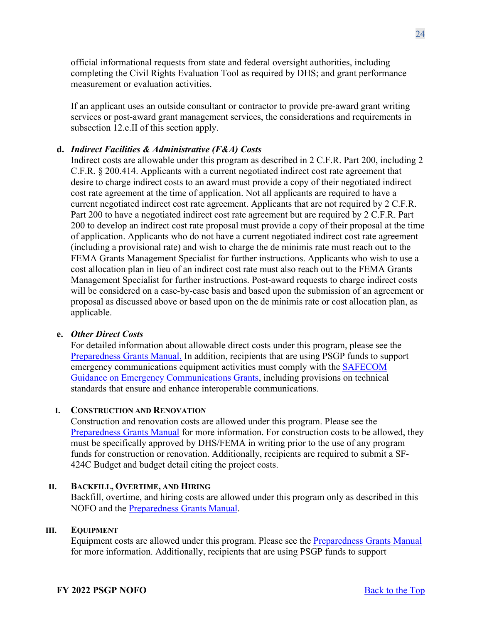official informational requests from state and federal oversight authorities, including completing the Civil Rights Evaluation Tool as required by DHS; and grant performance measurement or evaluation activities.

If an applicant uses an outside consultant or contractor to provide pre-award grant writing services or post-award grant management services, the considerations and requirements in subsection 12.e.II of this section apply.

## **d.** *Indirect Facilities & Administrative (F&A) Costs*

Indirect costs are allowable under this program as described in 2 C.F.R. Part 200, including 2 C.F.R. § 200.414. Applicants with a current negotiated indirect cost rate agreement that desire to charge indirect costs to an award must provide a copy of their negotiated indirect cost rate agreement at the time of application. Not all applicants are required to have a current negotiated indirect cost rate agreement. Applicants that are not required by 2 C.F.R. Part 200 to have a negotiated indirect cost rate agreement but are required by 2 C.F.R. Part 200 to develop an indirect cost rate proposal must provide a copy of their proposal at the time of application. Applicants who do not have a current negotiated indirect cost rate agreement (including a provisional rate) and wish to charge the de minimis rate must reach out to the FEMA Grants Management Specialist for further instructions. Applicants who wish to use a cost allocation plan in lieu of an indirect cost rate must also reach out to the FEMA Grants Management Specialist for further instructions. Post-award requests to charge indirect costs will be considered on a case-by-case basis and based upon the submission of an agreement or proposal as discussed above or based upon on the de minimis rate or cost allocation plan, as applicable.

### **e.** *Other Direct Costs*

For detailed information about allowable direct costs under this program, please see the [Preparedness Grants Manual.](https://www.fema.gov/media-library/assets/documents/178291) In addition, recipients that are using PSGP funds to support emergency communications equipment activities must comply with the **SAFECOM** [Guidance on Emergency Communications Grants,](https://www.cisa.gov/safecom/funding) including provisions on technical standards that ensure and enhance interoperable communications.

#### **I. CONSTRUCTION AND RENOVATION**

Construction and renovation costs are allowed under this program. Please see the [Preparedness Grants Manual](https://www.fema.gov/media-library/assets/documents/178291) for more information. For construction costs to be allowed, they must be specifically approved by DHS/FEMA in writing prior to the use of any program funds for construction or renovation. Additionally, recipients are required to submit a SF-424C Budget and budget detail citing the project costs.

### **II. BACKFILL, OVERTIME, AND HIRING**

Backfill, overtime, and hiring costs are allowed under this program only as described in this NOFO and the [Preparedness Grants Manual.](https://www.fema.gov/media-library/assets/documents/178291)

#### **III. EQUIPMENT**

Equipment costs are allowed under this program. Please see the [Preparedness Grants Manual](https://www.fema.gov/media-library/assets/documents/178291) for more information. Additionally, recipients that are using PSGP funds to support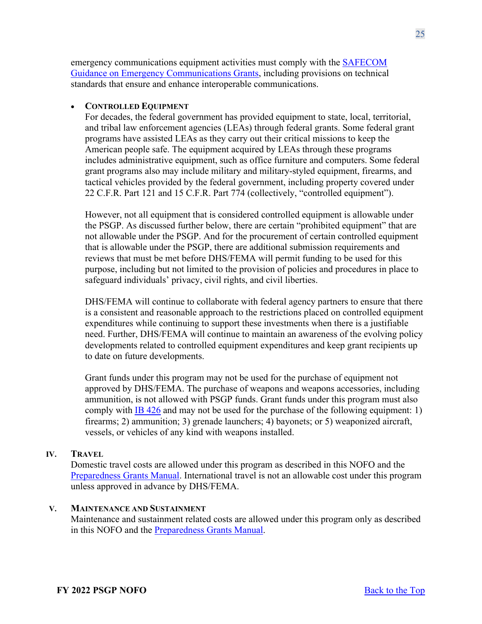emergency communications equipment activities must comply with the [SAFECOM](https://www.cisa.gov/safecom/funding)  [Guidance on Emergency Communications Grants,](https://www.cisa.gov/safecom/funding) including provisions on technical standards that ensure and enhance interoperable communications.

## • **CONTROLLED EQUIPMENT**

For decades, the federal government has provided equipment to state, local, territorial, and tribal law enforcement agencies (LEAs) through federal grants. Some federal grant programs have assisted LEAs as they carry out their critical missions to keep the American people safe. The equipment acquired by LEAs through these programs includes administrative equipment, such as office furniture and computers. Some federal grant programs also may include military and military-styled equipment, firearms, and tactical vehicles provided by the federal government, including property covered under 22 C.F.R. Part 121 and 15 C.F.R. Part 774 (collectively, "controlled equipment").

However, not all equipment that is considered controlled equipment is allowable under the PSGP. As discussed further below, there are certain "prohibited equipment" that are not allowable under the PSGP. And for the procurement of certain controlled equipment that is allowable under the PSGP, there are additional submission requirements and reviews that must be met before DHS/FEMA will permit funding to be used for this purpose, including but not limited to the provision of policies and procedures in place to safeguard individuals' privacy, civil rights, and civil liberties.

DHS/FEMA will continue to collaborate with federal agency partners to ensure that there is a consistent and reasonable approach to the restrictions placed on controlled equipment expenditures while continuing to support these investments when there is a justifiable need. Further, DHS/FEMA will continue to maintain an awareness of the evolving policy developments related to controlled equipment expenditures and keep grant recipients up to date on future developments.

Grant funds under this program may not be used for the purchase of equipment not approved by DHS/FEMA. The purchase of weapons and weapons accessories, including ammunition, is not allowed with PSGP funds. Grant funds under this program must also comply with [IB 426](https://www.fema.gov/sites/default/files/2020-08/ib_426_controlled_equipment_recission__11-1-17.pdf) and may not be used for the purchase of the following equipment: 1) firearms; 2) ammunition; 3) grenade launchers; 4) bayonets; or 5) weaponized aircraft, vessels, or vehicles of any kind with weapons installed.

### **IV. TRAVEL**

Domestic travel costs are allowed under this program as described in this NOFO and the [Preparedness Grants Manual.](https://www.fema.gov/media-library/assets/documents/178291) International travel is not an allowable cost under this program unless approved in advance by DHS/FEMA.

#### **V. MAINTENANCE AND SUSTAINMENT**

Maintenance and sustainment related costs are allowed under this program only as described in this NOFO and the [Preparedness Grants Manual.](https://www.fema.gov/media-library/assets/documents/178291)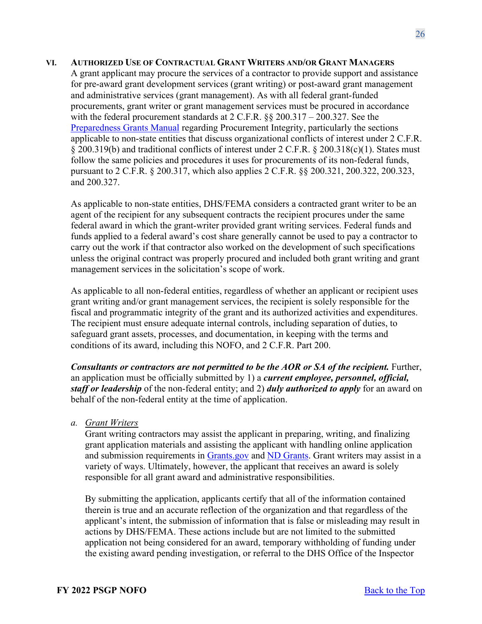#### **VI. AUTHORIZED USE OF CONTRACTUAL GRANT WRITERS AND/OR GRANT MANAGERS**

A grant applicant may procure the services of a contractor to provide support and assistance for pre-award grant development services (grant writing) or post-award grant management and administrative services (grant management). As with all federal grant-funded procurements, grant writer or grant management services must be procured in accordance with the federal procurement standards at  $2 \text{ C.F.R.}$  §§  $200.317 - 200.327$ . See the [Preparedness Grants Manual](https://www.fema.gov/media-library/assets/documents/178291) regarding Procurement Integrity, particularly the sections applicable to non-state entities that discuss organizational conflicts of interest under 2 C.F.R. § 200.319(b) and traditional conflicts of interest under 2 C.F.R. § 200.318(c)(1). States must follow the same policies and procedures it uses for procurements of its non-federal funds, pursuant to 2 C.F.R. § 200.317, which also applies 2 C.F.R. §§ 200.321, 200.322, 200.323, and 200.327.

As applicable to non-state entities, DHS/FEMA considers a contracted grant writer to be an agent of the recipient for any subsequent contracts the recipient procures under the same federal award in which the grant-writer provided grant writing services. Federal funds and funds applied to a federal award's cost share generally cannot be used to pay a contractor to carry out the work if that contractor also worked on the development of such specifications unless the original contract was properly procured and included both grant writing and grant management services in the solicitation's scope of work.

As applicable to all non-federal entities, regardless of whether an applicant or recipient uses grant writing and/or grant management services, the recipient is solely responsible for the fiscal and programmatic integrity of the grant and its authorized activities and expenditures. The recipient must ensure adequate internal controls, including separation of duties, to safeguard grant assets, processes, and documentation, in keeping with the terms and conditions of its award, including this NOFO, and 2 C.F.R. Part 200.

*Consultants or contractors are not permitted to be the AOR or SA of the recipient.* Further, an application must be officially submitted by 1) a *current employee, personnel, official, staff or leadership* of the non-federal entity; and 2) *duly authorized to apply* for an award on behalf of the non-federal entity at the time of application.

*a. Grant Writers*

Grant writing contractors may assist the applicant in preparing, writing, and finalizing grant application materials and assisting the applicant with handling online application and submission requirements in [Grants.gov](http://www.grants.gov/) and [ND Grants.](https://portal.fema.gov/famsVuWeb/home) Grant writers may assist in a variety of ways. Ultimately, however, the applicant that receives an award is solely responsible for all grant award and administrative responsibilities.

By submitting the application, applicants certify that all of the information contained therein is true and an accurate reflection of the organization and that regardless of the applicant's intent, the submission of information that is false or misleading may result in actions by DHS/FEMA. These actions include but are not limited to the submitted application not being considered for an award, temporary withholding of funding under the existing award pending investigation, or referral to the DHS Office of the Inspector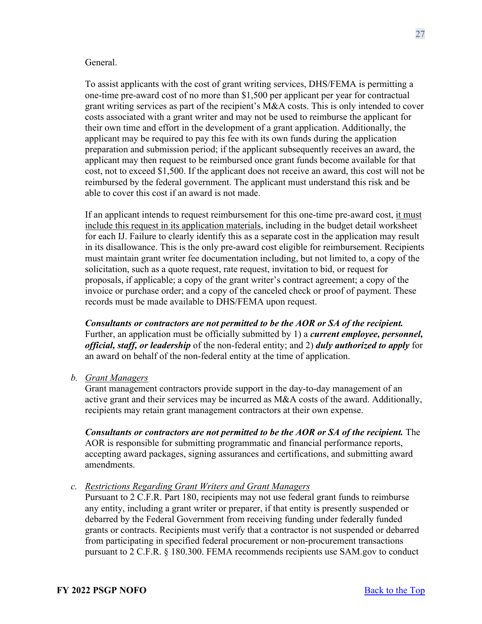#### General.

To assist applicants with the cost of grant writing services, DHS/FEMA is permitting a one-time pre-award cost of no more than \$1,500 per applicant per year for contractual grant writing services as part of the recipient's M&A costs. This is only intended to cover costs associated with a grant writer and may not be used to reimburse the applicant for their own time and effort in the development of a grant application. Additionally, the applicant may be required to pay this fee with its own funds during the application preparation and submission period; if the applicant subsequently receives an award, the applicant may then request to be reimbursed once grant funds become available for that cost, not to exceed \$1,500. If the applicant does not receive an award, this cost will not be reimbursed by the federal government. The applicant must understand this risk and be able to cover this cost if an award is not made.

If an applicant intends to request reimbursement for this one-time pre-award cost, it must include this request in its application materials, including in the budget detail worksheet for each IJ. Failure to clearly identify this as a separate cost in the application may result in its disallowance. This is the only pre-award cost eligible for reimbursement. Recipients must maintain grant writer fee documentation including, but not limited to, a copy of the solicitation, such as a quote request, rate request, invitation to bid, or request for proposals, if applicable; a copy of the grant writer's contract agreement; a copy of the invoice or purchase order; and a copy of the canceled check or proof of payment. These records must be made available to DHS/FEMA upon request.

*Consultants or contractors are not permitted to be the AOR or SA of the recipient.*  Further, an application must be officially submitted by 1) a *current employee, personnel, official, staff, or leadership* of the non-federal entity; and 2) *duly authorized to apply* for an award on behalf of the non-federal entity at the time of application.

*b. Grant Managers*

Grant management contractors provide support in the day-to-day management of an active grant and their services may be incurred as  $M&A$  costs of the award. Additionally, recipients may retain grant management contractors at their own expense.

*Consultants or contractors are not permitted to be the AOR or SA of the recipient.* **The** AOR is responsible for submitting programmatic and financial performance reports, accepting award packages, signing assurances and certifications, and submitting award amendments.

#### *c. Restrictions Regarding Grant Writers and Grant Managers*

Pursuant to 2 C.F.R. Part 180, recipients may not use federal grant funds to reimburse any entity, including a grant writer or preparer, if that entity is presently suspended or debarred by the Federal Government from receiving funding under federally funded grants or contracts. Recipients must verify that a contractor is not suspended or debarred from participating in specified federal procurement or non-procurement transactions pursuant to 2 C.F.R. § 180.300. FEMA recommends recipients use SAM.gov to conduct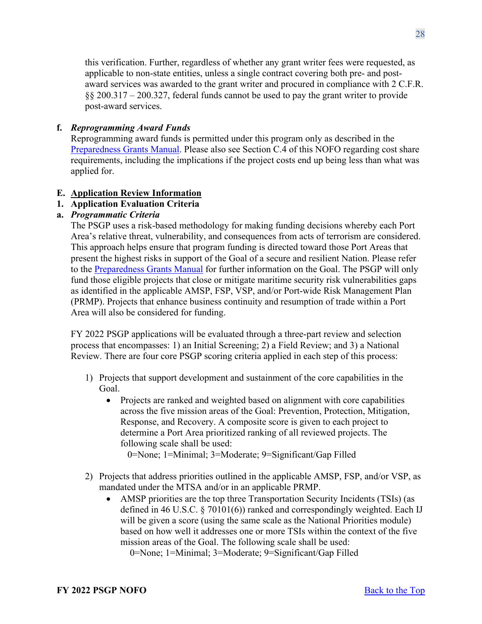this verification. Further, regardless of whether any grant writer fees were requested, as applicable to non-state entities, unless a single contract covering both pre- and postaward services was awarded to the grant writer and procured in compliance with 2 C.F.R. §§ 200.317 – 200.327, federal funds cannot be used to pay the grant writer to provide post-award services.

## **f.** *Reprogramming Award Funds*

Reprogramming award funds is permitted under this program only as described in the [Preparedness Grants Manual.](https://www.fema.gov/media-library/assets/documents/178291) Please also see Section C.4 of this NOFO regarding cost share requirements, including the implications if the project costs end up being less than what was applied for.

## <span id="page-27-0"></span>**E. Application Review Information**

## <span id="page-27-1"></span>**1. Application Evaluation Criteria**

## **a.** *Programmatic Criteria*

The PSGP uses a risk-based methodology for making funding decisions whereby each Port Area's relative threat, vulnerability, and consequences from acts of terrorism are considered. This approach helps ensure that program funding is directed toward those Port Areas that present the highest risks in support of the Goal of a secure and resilient Nation. Please refer to the [Preparedness Grants Manual](https://www.fema.gov/media-library/assets/documents/178291) for further information on the Goal. The PSGP will only fund those eligible projects that close or mitigate maritime security risk vulnerabilities gaps as identified in the applicable AMSP, FSP, VSP, and/or Port-wide Risk Management Plan (PRMP). Projects that enhance business continuity and resumption of trade within a Port Area will also be considered for funding.

FY 2022 PSGP applications will be evaluated through a three-part review and selection process that encompasses: 1) an Initial Screening; 2) a Field Review; and 3) a National Review. There are four core PSGP scoring criteria applied in each step of this process:

- 1) Projects that support development and sustainment of the core capabilities in the Goal.
	- Projects are ranked and weighted based on alignment with core capabilities across the five mission areas of the Goal: Prevention, Protection, Mitigation, Response, and Recovery. A composite score is given to each project to determine a Port Area prioritized ranking of all reviewed projects. The following scale shall be used:

0=None; 1=Minimal; 3=Moderate; 9=Significant/Gap Filled

- 2) Projects that address priorities outlined in the applicable AMSP, FSP, and/or VSP, as mandated under the MTSA and/or in an applicable PRMP.
	- AMSP priorities are the top three Transportation Security Incidents (TSIs) (as defined in 46 U.S.C. § 70101(6)) ranked and correspondingly weighted. Each IJ will be given a score (using the same scale as the National Priorities module) based on how well it addresses one or more TSIs within the context of the five mission areas of the Goal. The following scale shall be used:

0=None; 1=Minimal; 3=Moderate; 9=Significant/Gap Filled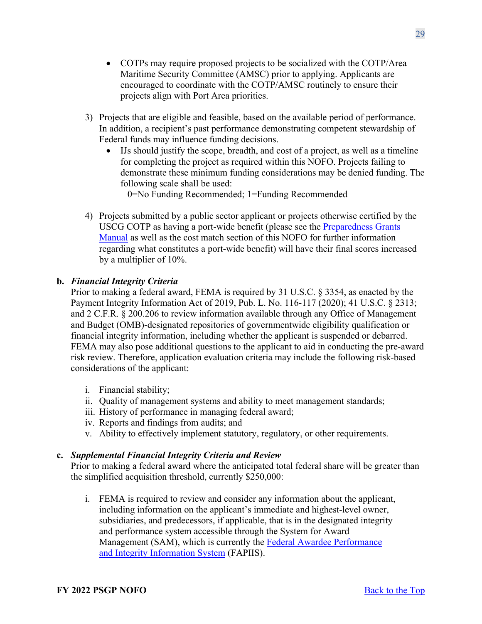- COTPs may require proposed projects to be socialized with the COTP/Area Maritime Security Committee (AMSC) prior to applying. Applicants are encouraged to coordinate with the COTP/AMSC routinely to ensure their projects align with Port Area priorities.
- 3) Projects that are eligible and feasible, based on the available period of performance. In addition, a recipient's past performance demonstrating competent stewardship of Federal funds may influence funding decisions.
	- IJs should justify the scope, breadth, and cost of a project, as well as a timeline for completing the project as required within this NOFO. Projects failing to demonstrate these minimum funding considerations may be denied funding. The following scale shall be used:

0=No Funding Recommended; 1=Funding Recommended

4) Projects submitted by a public sector applicant or projects otherwise certified by the USCG COTP as having a port-wide benefit (please see the [Preparedness Grants](https://www.fema.gov/media-library/assets/documents/178291)  [Manual](https://www.fema.gov/media-library/assets/documents/178291) as well as the cost match section of this NOFO for further information regarding what constitutes a port-wide benefit) will have their final scores increased by a multiplier of 10%.

## **b.** *Financial Integrity Criteria*

Prior to making a federal award, FEMA is required by 31 U.S.C. § 3354, as enacted by the Payment Integrity Information Act of 2019, Pub. L. No. 116-117 (2020); 41 U.S.C. § 2313; and 2 C.F.R. § 200.206 to review information available through any Office of Management and Budget (OMB)-designated repositories of governmentwide eligibility qualification or financial integrity information, including whether the applicant is suspended or debarred. FEMA may also pose additional questions to the applicant to aid in conducting the pre-award risk review. Therefore, application evaluation criteria may include the following risk-based considerations of the applicant:

- i. Financial stability;
- ii. Quality of management systems and ability to meet management standards;
- iii. History of performance in managing federal award;
- iv. Reports and findings from audits; and
- v. Ability to effectively implement statutory, regulatory, or other requirements.

## **c.** *Supplemental Financial Integrity Criteria and Review*

Prior to making a federal award where the anticipated total federal share will be greater than the simplified acquisition threshold, currently \$250,000:

i. FEMA is required to review and consider any information about the applicant, including information on the applicant's immediate and highest-level owner, subsidiaries, and predecessors, if applicable, that is in the designated integrity and performance system accessible through the System for Award Management (SAM), which is currently the [Federal Awardee Performance](https://www.fapiis.gov/fapiis/index.action)  [and Integrity Information System](https://www.fapiis.gov/fapiis/index.action) (FAPIIS).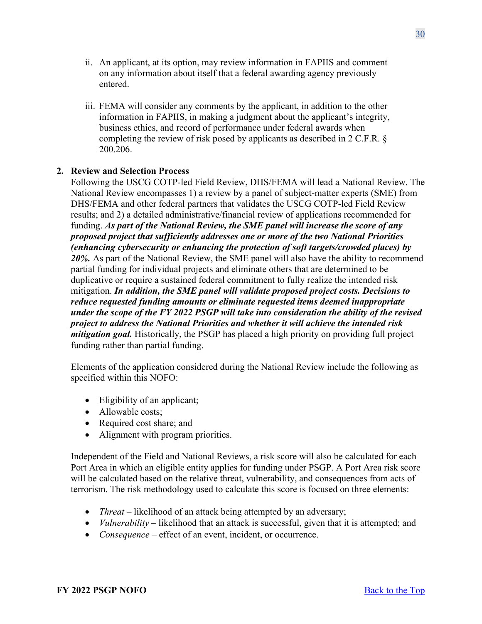- ii. An applicant, at its option, may review information in FAPIIS and comment on any information about itself that a federal awarding agency previously entered.
- iii. FEMA will consider any comments by the applicant, in addition to the other information in FAPIIS, in making a judgment about the applicant's integrity, business ethics, and record of performance under federal awards when completing the review of risk posed by applicants as described in 2 C.F.R. § 200.206.

## <span id="page-29-0"></span>**2. Review and Selection Process**

Following the USCG COTP-led Field Review, DHS/FEMA will lead a National Review. The National Review encompasses 1) a review by a panel of subject-matter experts (SME) from DHS/FEMA and other federal partners that validates the USCG COTP-led Field Review results; and 2) a detailed administrative/financial review of applications recommended for funding. *As part of the National Review, the SME panel will increase the score of any proposed project that sufficiently addresses one or more of the two National Priorities (enhancing cybersecurity or enhancing the protection of soft targets/crowded places) by 20%.* As part of the National Review, the SME panel will also have the ability to recommend partial funding for individual projects and eliminate others that are determined to be duplicative or require a sustained federal commitment to fully realize the intended risk mitigation. *In addition, the SME panel will validate proposed project costs. Decisions to reduce requested funding amounts or eliminate requested items deemed inappropriate under the scope of the FY 2022 PSGP will take into consideration the ability of the revised project to address the National Priorities and whether it will achieve the intended risk mitigation goal.* Historically, the PSGP has placed a high priority on providing full project funding rather than partial funding.

Elements of the application considered during the National Review include the following as specified within this NOFO:

- Eligibility of an applicant;
- Allowable costs:
- Required cost share; and
- Alignment with program priorities.

Independent of the Field and National Reviews, a risk score will also be calculated for each Port Area in which an eligible entity applies for funding under PSGP. A Port Area risk score will be calculated based on the relative threat, vulnerability, and consequences from acts of terrorism. The risk methodology used to calculate this score is focused on three elements:

- *Threat* likelihood of an attack being attempted by an adversary;
- *Vulnerability* likelihood that an attack is successful, given that it is attempted; and
- *Consequence* effect of an event, incident, or occurrence.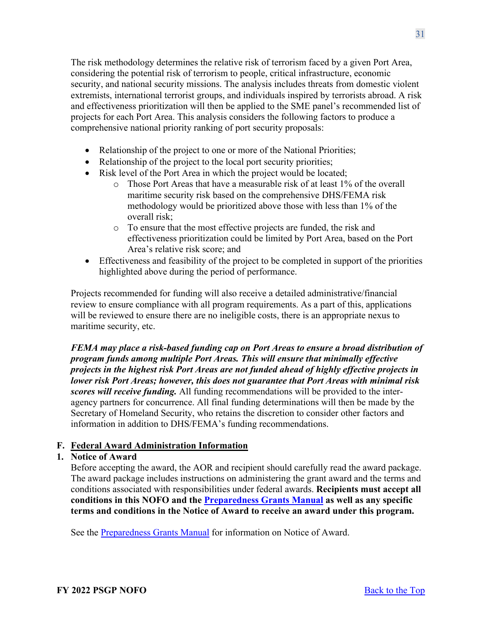The risk methodology determines the relative risk of terrorism faced by a given Port Area, considering the potential risk of terrorism to people, critical infrastructure, economic security, and national security missions. The analysis includes threats from domestic violent extremists, international terrorist groups, and individuals inspired by terrorists abroad. A risk and effectiveness prioritization will then be applied to the SME panel's recommended list of projects for each Port Area. This analysis considers the following factors to produce a comprehensive national priority ranking of port security proposals:

- Relationship of the project to one or more of the National Priorities;
- Relationship of the project to the local port security priorities;
- Risk level of the Port Area in which the project would be located;
	- o Those Port Areas that have a measurable risk of at least 1% of the overall maritime security risk based on the comprehensive DHS/FEMA risk methodology would be prioritized above those with less than 1% of the overall risk;
	- o To ensure that the most effective projects are funded, the risk and effectiveness prioritization could be limited by Port Area, based on the Port Area's relative risk score; and
- Effectiveness and feasibility of the project to be completed in support of the priorities highlighted above during the period of performance.

Projects recommended for funding will also receive a detailed administrative/financial review to ensure compliance with all program requirements. As a part of this, applications will be reviewed to ensure there are no ineligible costs, there is an appropriate nexus to maritime security, etc.

*FEMA may place a risk-based funding cap on Port Areas to ensure a broad distribution of program funds among multiple Port Areas. This will ensure that minimally effective projects in the highest risk Port Areas are not funded ahead of highly effective projects in lower risk Port Areas; however, this does not guarantee that Port Areas with minimal risk scores will receive funding.* All funding recommendations will be provided to the interagency partners for concurrence. All final funding determinations will then be made by the Secretary of Homeland Security, who retains the discretion to consider other factors and information in addition to DHS/FEMA's funding recommendations.

## <span id="page-30-0"></span>**F. Federal Award Administration Information**

## <span id="page-30-1"></span>**1. Notice of Award**

Before accepting the award, the AOR and recipient should carefully read the award package. The award package includes instructions on administering the grant award and the terms and conditions associated with responsibilities under federal awards. **Recipients must accept all conditions in this NOFO and the [Preparedness Grants Manual](https://www.fema.gov/media-library/assets/documents/178291) as well as any specific terms and conditions in the Notice of Award to receive an award under this program.**

See the [Preparedness Grants Manual](https://www.fema.gov/media-library/assets/documents/178291) for information on Notice of Award.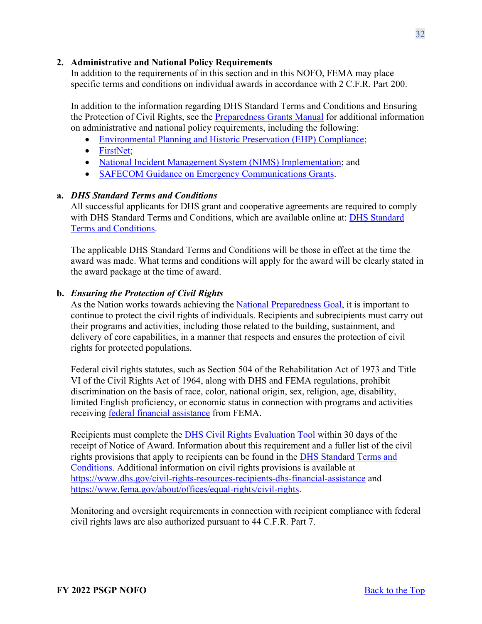## <span id="page-31-0"></span>**2. Administrative and National Policy Requirements**

In addition to the requirements of in this section and in this NOFO, FEMA may place specific terms and conditions on individual awards in accordance with 2 C.F.R. Part 200.

In addition to the information regarding DHS Standard Terms and Conditions and Ensuring the Protection of Civil Rights, see the [Preparedness Grants Manual](https://www.fema.gov/media-library/assets/documents/178291) for additional information on administrative and national policy requirements, including the following:

- [Environmental Planning and Historic Preservation \(EHP\) Compliance;](https://www.fema.gov/grants/guidance-tools/environmental-historic)
- FirstNet:
- [National Incident Management System \(NIMS\) Implementation;](https://www.fema.gov/emergency-managers/nims/implementation-training) and
- [SAFECOM Guidance on Emergency Communications Grants.](https://www.cisa.gov/safecom/funding)

### **a.** *DHS Standard Terms and Conditions*

All successful applicants for DHS grant and cooperative agreements are required to comply with [DHS Standard](http://www.dhs.gov/publication/fy15-dhs-standard-terms-and-conditions) Terms and Conditions, which are available online at: DHS Standard [Terms and Conditions.](http://www.dhs.gov/publication/fy15-dhs-standard-terms-and-conditions)

The applicable DHS Standard Terms and Conditions will be those in effect at the time the award was made. What terms and conditions will apply for the award will be clearly stated in the award package at the time of award.

### **b.** *Ensuring the Protection of Civil Rights*

As the Nation works towards achieving the [National Preparedness Goal,](https://www.fema.gov/national-preparedness-goal) it is important to continue to protect the civil rights of individuals. Recipients and subrecipients must carry out their programs and activities, including those related to the building, sustainment, and delivery of core capabilities, in a manner that respects and ensures the protection of civil rights for protected populations.

Federal civil rights statutes, such as Section 504 of the Rehabilitation Act of 1973 and Title VI of the Civil Rights Act of 1964, along with DHS and FEMA regulations, prohibit discrimination on the basis of race, color, national origin, sex, religion, age, disability, limited English proficiency, or economic status in connection with programs and activities receiving [federal financial assistance](https://www.ecfr.gov/cgi-bin/text-idx?SID=5e41f4d1a74f253d602c5a7fdc4fc2d8&mc=true&node=se44.1.7_1913&rgn=div8) from FEMA.

Recipients must complete the [DHS Civil Rights Evaluation Tool](https://www.dhs.gov/publication/dhs-civil-rights-evaluation-tool) within 30 days of the receipt of Notice of Award. Information about this requirement and a fuller list of the civil rights provisions that apply to recipients can be found in the [DHS Standard Terms and](https://www.dhs.gov/publication/fy15-dhs-standard-terms-and-conditions)  [Conditions.](https://www.dhs.gov/publication/fy15-dhs-standard-terms-and-conditions) Additional information on civil rights provisions is available at <https://www.dhs.gov/civil-rights-resources-recipients-dhs-financial-assistance>and [https://www.fema.gov/about/offices/equal-rights/civil-rights.](https://www.fema.gov/about/offices/equal-rights/civil-rights)

Monitoring and oversight requirements in connection with recipient compliance with federal civil rights laws are also authorized pursuant to 44 C.F.R. Part 7.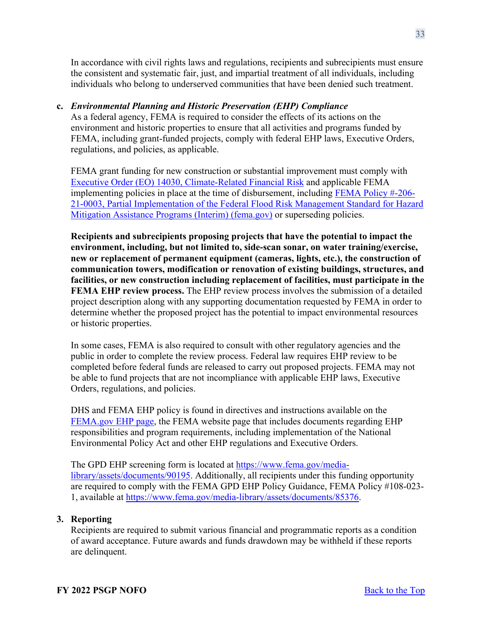In accordance with civil rights laws and regulations, recipients and subrecipients must ensure the consistent and systematic fair, just, and impartial treatment of all individuals, including individuals who belong to underserved communities that have been denied such treatment.

## **c.** *Environmental Planning and Historic Preservation (EHP) Compliance*

As a federal agency, FEMA is required to consider the effects of its actions on the environment and historic properties to ensure that all activities and programs funded by FEMA, including grant-funded projects, comply with federal EHP laws, Executive Orders, regulations, and policies, as applicable.

FEMA grant funding for new construction or substantial improvement must comply with [Executive Order \(EO\) 14030, Climate-Related Financial Risk](https://www.whitehouse.gov/briefing-room/presidential-actions/2021/05/20/executive-order-on-climate-related-financial-risk/) and applicable FEMA implementing policies in place at the time of disbursement, including [FEMA Policy #-206-](https://www.fema.gov/sites/default/files/documents/fema_policy-fp-206-21-0003-partial-mplementation-ffrms-hma-programs-interim.pdf) [21-0003, Partial Implementation of the Federal Flood Risk Management Standard for Hazard](https://www.fema.gov/sites/default/files/documents/fema_policy-fp-206-21-0003-partial-mplementation-ffrms-hma-programs-interim.pdf)  [Mitigation Assistance Programs \(Interim\) \(fema.gov\)](https://www.fema.gov/sites/default/files/documents/fema_policy-fp-206-21-0003-partial-mplementation-ffrms-hma-programs-interim.pdf) or superseding policies.

**Recipients and subrecipients proposing projects that have the potential to impact the environment, including, but not limited to, side-scan sonar, on water training/exercise, new or replacement of permanent equipment (cameras, lights, etc.), the construction of communication towers, modification or renovation of existing buildings, structures, and facilities, or new construction including replacement of facilities, must participate in the FEMA EHP review process.** The EHP review process involves the submission of a detailed project description along with any supporting documentation requested by FEMA in order to determine whether the proposed project has the potential to impact environmental resources or historic properties.

In some cases, FEMA is also required to consult with other regulatory agencies and the public in order to complete the review process. Federal law requires EHP review to be completed before federal funds are released to carry out proposed projects. FEMA may not be able to fund projects that are not incompliance with applicable EHP laws, Executive Orders, regulations, and policies.

DHS and FEMA EHP policy is found in directives and instructions available on the [FEMA.gov EHP page,](https://www.fema.gov/grants/guidance-tools/environmental-historic) the FEMA website page that includes documents regarding EHP responsibilities and program requirements, including implementation of the National Environmental Policy Act and other EHP regulations and Executive Orders.

The GPD EHP screening form is located at [https://www.fema.gov/media](https://www.fema.gov/media-library/assets/documents/90195)[library/assets/documents/90195.](https://www.fema.gov/media-library/assets/documents/90195) Additionally, all recipients under this funding opportunity are required to comply with the FEMA GPD EHP Policy Guidance, FEMA Policy #108-023- 1, available at [https://www.fema.gov/media-library/assets/documents/85376.](https://www.fema.gov/media-library/assets/documents/85376)

## <span id="page-32-0"></span>**3. Reporting**

Recipients are required to submit various financial and programmatic reports as a condition of award acceptance. Future awards and funds drawdown may be withheld if these reports are delinquent.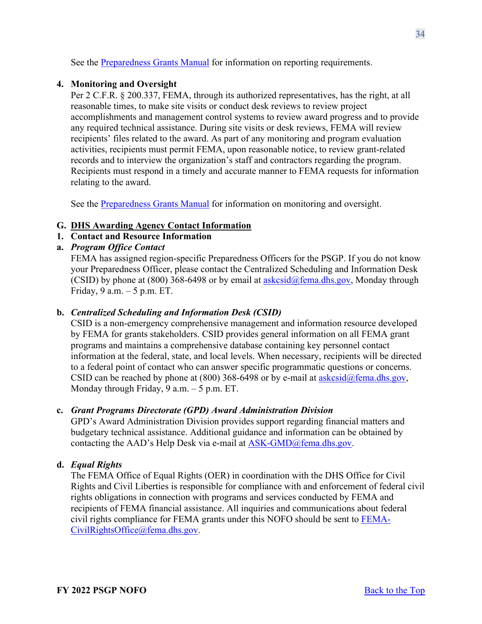See the [Preparedness Grants Manual](https://www.fema.gov/media-library/assets/documents/178291) for information on reporting requirements.

## <span id="page-33-0"></span>**4. Monitoring and Oversight**

Per 2 C.F.R. § 200.337, FEMA, through its authorized representatives, has the right, at all reasonable times, to make site visits or conduct desk reviews to review project accomplishments and management control systems to review award progress and to provide any required technical assistance. During site visits or desk reviews, FEMA will review recipients' files related to the award. As part of any monitoring and program evaluation activities, recipients must permit FEMA, upon reasonable notice, to review grant-related records and to interview the organization's staff and contractors regarding the program. Recipients must respond in a timely and accurate manner to FEMA requests for information relating to the award.

See the [Preparedness Grants Manual](https://www.fema.gov/media-library/assets/documents/178291) for information on monitoring and oversight.

## <span id="page-33-1"></span>**G. DHS Awarding Agency Contact Information**

## <span id="page-33-2"></span>**1. Contact and Resource Information**

## **a.** *Program Office Contact*

FEMA has assigned region-specific Preparedness Officers for the PSGP. If you do not know your Preparedness Officer, please contact the Centralized Scheduling and Information Desk (CSID) by phone at (800) 368-6498 or by email at  $askcsid@fema.dhs.gov$ , Monday through Friday, 9 a.m. – 5 p.m. ET.

## **b.** *Centralized Scheduling and Information Desk (CSID)*

CSID is a non-emergency comprehensive management and information resource developed by FEMA for grants stakeholders. CSID provides general information on all FEMA grant programs and maintains a comprehensive database containing key personnel contact information at the federal, state, and local levels. When necessary, recipients will be directed to a federal point of contact who can answer specific programmatic questions or concerns. CSID can be reached by phone at (800) 368-6498 or by e-mail at  $askcsid@fema.dhs.gov$ , Monday through Friday, 9 a.m. – 5 p.m. ET.

### **c.** *Grant Programs Directorate (GPD) Award Administration Division*

GPD's Award Administration Division provides support regarding financial matters and budgetary technical assistance. Additional guidance and information can be obtained by contacting the AAD's Help Desk via e-mail at [ASK-GMD@fema.dhs.gov.](mailto:ASK-GMD@fema.dhs.gov)

## **d.** *Equal Rights*

The FEMA Office of Equal Rights (OER) in coordination with the DHS Office for Civil Rights and Civil Liberties is responsible for compliance with and enforcement of federal civil rights obligations in connection with programs and services conducted by FEMA and recipients of FEMA financial assistance. All inquiries and communications about federal civil rights compliance for FEMA grants under this NOFO should be sent to [FEMA-](mailto:FEMA-CivilRightsOffice@fema.dhs.gov)[CivilRightsOffice@fema.dhs.gov.](mailto:FEMA-CivilRightsOffice@fema.dhs.gov)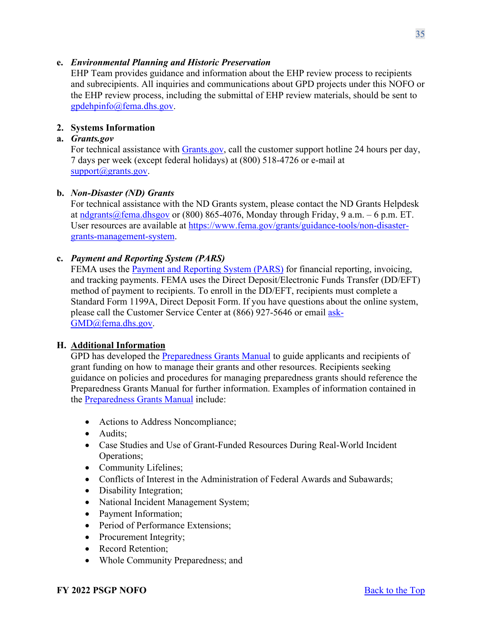## **e.** *Environmental Planning and Historic Preservation*

EHP Team provides guidance and information about the EHP review process to recipients and subrecipients. All inquiries and communications about GPD projects under this NOFO or the EHP review process, including the submittal of EHP review materials, should be sent to [gpdehpinfo@fema.dhs.gov.](mailto:gpdehpinfo@fema.dhs.gov)

## <span id="page-34-0"></span>**2. Systems Information**

## **a.** *Grants.gov*

For technical assistance with [Grants.gov,](https://www.grants.gov/forms/sf-424-family.html) call the customer support hotline 24 hours per day, 7 days per week (except federal holidays) at (800) 518-4726 or e-mail at [support@grants.gov.](mailto:support@grants.gov)

## **b.** *Non-Disaster (ND) Grants*

For technical assistance with the ND Grants system, please contact the ND Grants Helpdesk at [ndgrants@fema.dhsgov](mailto:ndgrants@fema.dhsgov) or (800) 865-4076, Monday through Friday, 9 a.m.  $-6$  p.m. ET. User resources are available at [https://www.fema.gov/grants/guidance-tools/non-disaster](https://www.fema.gov/grants/guidance-tools/non-disaster-grants-management-system)[grants-management-system.](https://www.fema.gov/grants/guidance-tools/non-disaster-grants-management-system)

## **c.** *Payment and Reporting System (PARS)*

FEMA uses the [Payment and Reporting System \(PARS\)](https://isource.fema.gov/sf269/execute/LogIn?sawContentMessage=true) for financial reporting, invoicing, and tracking payments. FEMA uses the Direct Deposit/Electronic Funds Transfer (DD/EFT) method of payment to recipients. To enroll in the DD/EFT, recipients must complete a Standard Form 1199A, Direct Deposit Form. If you have questions about the online system, please call the Customer Service Center at (866) 927-5646 or email [ask-](mailto:ask-GMD@fema.dhs.gov)[GMD@fema.dhs.gov.](mailto:ask-GMD@fema.dhs.gov)

### <span id="page-34-1"></span>**H. Additional Information**

GPD has developed the **Preparedness Grants Manual** to guide applicants and recipients of grant funding on how to manage their grants and other resources. Recipients seeking guidance on policies and procedures for managing preparedness grants should reference the Preparedness Grants Manual for further information. Examples of information contained in the [Preparedness Grants Manual](https://www.fema.gov/media-library/assets/documents/178291) include:

- Actions to Address Noncompliance;
- Audits:
- Case Studies and Use of Grant-Funded Resources During Real-World Incident Operations;
- Community Lifelines;
- Conflicts of Interest in the Administration of Federal Awards and Subawards;
- Disability Integration;
- National Incident Management System;
- Payment Information;
- Period of Performance Extensions;
- Procurement Integrity;
- Record Retention;
- Whole Community Preparedness; and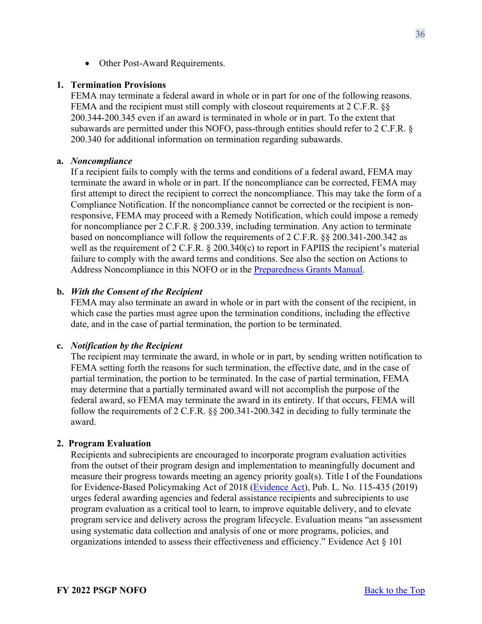• Other Post-Award Requirements.

#### <span id="page-35-0"></span>**1. Termination Provisions**

FEMA may terminate a federal award in whole or in part for one of the following reasons. FEMA and the recipient must still comply with closeout requirements at 2 C.F.R. §§ 200.344-200.345 even if an award is terminated in whole or in part. To the extent that subawards are permitted under this NOFO, pass-through entities should refer to 2 C.F.R. § 200.340 for additional information on termination regarding subawards.

#### **a.** *Noncompliance*

If a recipient fails to comply with the terms and conditions of a federal award, FEMA may terminate the award in whole or in part. If the noncompliance can be corrected, FEMA may first attempt to direct the recipient to correct the noncompliance. This may take the form of a Compliance Notification. If the noncompliance cannot be corrected or the recipient is nonresponsive, FEMA may proceed with a Remedy Notification, which could impose a remedy for noncompliance per 2 C.F.R. § 200.339, including termination. Any action to terminate based on noncompliance will follow the requirements of 2 C.F.R. §§ 200.341-200.342 as well as the requirement of 2 C.F.R.  $\S$  200.340(c) to report in FAPIIS the recipient's material failure to comply with the award terms and conditions. See also the section on Actions to Address Noncompliance in this NOFO or in the [Preparedness Grants Manual.](https://www.fema.gov/media-library/assets/documents/178291)

#### **b.** *With the Consent of the Recipient*

FEMA may also terminate an award in whole or in part with the consent of the recipient, in which case the parties must agree upon the termination conditions, including the effective date, and in the case of partial termination, the portion to be terminated.

#### **c.** *Notification by the Recipient*

The recipient may terminate the award, in whole or in part, by sending written notification to FEMA setting forth the reasons for such termination, the effective date, and in the case of partial termination, the portion to be terminated. In the case of partial termination, FEMA may determine that a partially terminated award will not accomplish the purpose of the federal award, so FEMA may terminate the award in its entirety. If that occurs, FEMA will follow the requirements of 2 C.F.R. §§ 200.341-200.342 in deciding to fully terminate the award.

#### <span id="page-35-1"></span>**2. Program Evaluation**

Recipients and subrecipients are encouraged to incorporate program evaluation activities from the outset of their program design and implementation to meaningfully document and measure their progress towards meeting an agency priority goal(s). Title I of the Foundations for Evidence-Based Policymaking Act of 2018 [\(Evidence Act\)](https://www.congress.gov/115/plaws/publ435/PLAW-115publ435.pdf), Pub. L. No. 115-435 (2019) urges federal awarding agencies and federal assistance recipients and subrecipients to use program evaluation as a critical tool to learn, to improve equitable delivery, and to elevate program service and delivery across the program lifecycle. Evaluation means "an assessment using systematic data collection and analysis of one or more programs, policies, and organizations intended to assess their effectiveness and efficiency." Evidence Act § 101